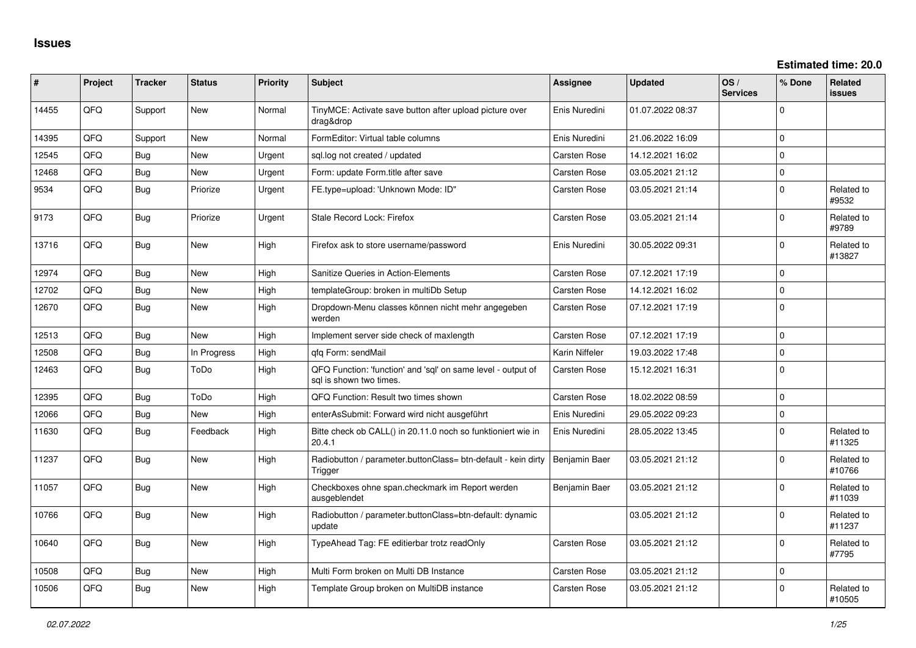| ∥ #   | Project | <b>Tracker</b> | <b>Status</b> | <b>Priority</b> | Subject                                                                                 | <b>Assignee</b>     | <b>Updated</b>   | OS/<br><b>Services</b> | % Done         | <b>Related</b><br><b>issues</b> |
|-------|---------|----------------|---------------|-----------------|-----------------------------------------------------------------------------------------|---------------------|------------------|------------------------|----------------|---------------------------------|
| 14455 | QFQ     | Support        | New           | Normal          | TinyMCE: Activate save button after upload picture over<br>drag&drop                    | Enis Nuredini       | 01.07.2022 08:37 |                        | 0              |                                 |
| 14395 | QFQ     | Support        | New           | Normal          | FormEditor: Virtual table columns                                                       | Enis Nuredini       | 21.06.2022 16:09 |                        | $\Omega$       |                                 |
| 12545 | QFQ.    | Bug            | <b>New</b>    | Urgent          | sql.log not created / updated                                                           | <b>Carsten Rose</b> | 14.12.2021 16:02 |                        | $\Omega$       |                                 |
| 12468 | QFQ     | Bug            | New           | Urgent          | Form: update Form.title after save                                                      | Carsten Rose        | 03.05.2021 21:12 |                        | $\mathbf 0$    |                                 |
| 9534  | QFQ     | Bug            | Priorize      | Urgent          | FE.type=upload: 'Unknown Mode: ID"                                                      | <b>Carsten Rose</b> | 03.05.2021 21:14 |                        | $\Omega$       | Related to<br>#9532             |
| 9173  | QFQ     | Bug            | Priorize      | Urgent          | Stale Record Lock: Firefox                                                              | Carsten Rose        | 03.05.2021 21:14 |                        | $\Omega$       | Related to<br>#9789             |
| 13716 | QFQ     | Bug            | <b>New</b>    | High            | Firefox ask to store username/password                                                  | Enis Nuredini       | 30.05.2022 09:31 |                        | $\mathbf 0$    | Related to<br>#13827            |
| 12974 | QFQ     | Bug            | New           | High            | Sanitize Queries in Action-Elements                                                     | Carsten Rose        | 07.12.2021 17:19 |                        | $\Omega$       |                                 |
| 12702 | QFQ     | Bug            | New           | High            | templateGroup: broken in multiDb Setup                                                  | <b>Carsten Rose</b> | 14.12.2021 16:02 |                        | $\Omega$       |                                 |
| 12670 | QFQ     | Bug            | <b>New</b>    | High            | Dropdown-Menu classes können nicht mehr angegeben<br>werden                             | <b>Carsten Rose</b> | 07.12.2021 17:19 |                        | $\Omega$       |                                 |
| 12513 | QFQ     | Bug            | New           | High            | Implement server side check of maxlength                                                | Carsten Rose        | 07.12.2021 17:19 |                        | $\mathbf 0$    |                                 |
| 12508 | QFQ     | Bug            | In Progress   | High            | qfq Form: sendMail                                                                      | Karin Niffeler      | 19.03.2022 17:48 |                        | $\overline{0}$ |                                 |
| 12463 | QFQ     | Bug            | ToDo          | High            | QFQ Function: 'function' and 'sql' on same level - output of<br>sql is shown two times. | Carsten Rose        | 15.12.2021 16:31 |                        | $\Omega$       |                                 |
| 12395 | QFQ     | Bug            | ToDo          | High            | QFQ Function: Result two times shown                                                    | <b>Carsten Rose</b> | 18.02.2022 08:59 |                        | $\mathbf 0$    |                                 |
| 12066 | QFQ     | Bug            | New           | High            | enterAsSubmit: Forward wird nicht ausgeführt                                            | Enis Nuredini       | 29.05.2022 09:23 |                        | $\mathbf 0$    |                                 |
| 11630 | QFQ     | Bug            | Feedback      | High            | Bitte check ob CALL() in 20.11.0 noch so funktioniert wie in<br>20.4.1                  | Enis Nuredini       | 28.05.2022 13:45 |                        | $\Omega$       | Related to<br>#11325            |
| 11237 | QFQ     | Bug            | New           | High            | Radiobutton / parameter.buttonClass= btn-default - kein dirty<br>Trigger                | Benjamin Baer       | 03.05.2021 21:12 |                        | 0              | Related to<br>#10766            |
| 11057 | QFQ     | Bug            | New           | High            | Checkboxes ohne span.checkmark im Report werden<br>ausgeblendet                         | Benjamin Baer       | 03.05.2021 21:12 |                        | $\Omega$       | Related to<br>#11039            |
| 10766 | QFQ     | Bug            | New           | High            | Radiobutton / parameter.buttonClass=btn-default: dynamic<br>update                      |                     | 03.05.2021 21:12 |                        | $\Omega$       | Related to<br>#11237            |
| 10640 | QFQ     | Bug            | New           | High            | TypeAhead Tag: FE editierbar trotz readOnly                                             | <b>Carsten Rose</b> | 03.05.2021 21:12 |                        | $\Omega$       | Related to<br>#7795             |
| 10508 | QFQ     | Bug            | New           | High            | Multi Form broken on Multi DB Instance                                                  | <b>Carsten Rose</b> | 03.05.2021 21:12 |                        | $\mathbf 0$    |                                 |
| 10506 | QFQ     | Bug            | New           | High            | Template Group broken on MultiDB instance                                               | <b>Carsten Rose</b> | 03.05.2021 21:12 |                        | $\Omega$       | Related to<br>#10505            |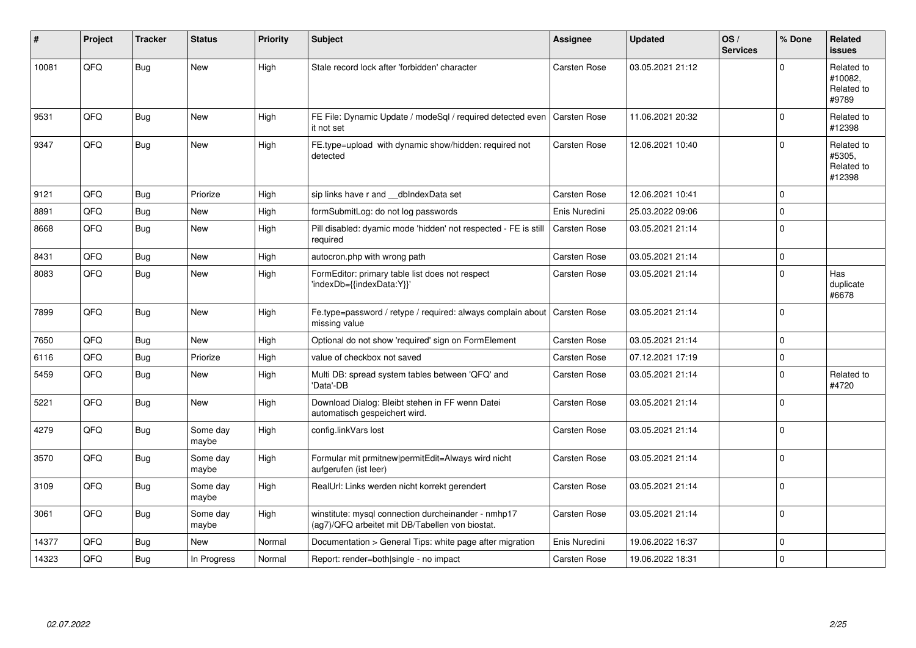| #     | Project | <b>Tracker</b> | <b>Status</b>     | <b>Priority</b> | <b>Subject</b>                                                                                         | <b>Assignee</b>     | <b>Updated</b>   | OS/<br><b>Services</b> | % Done      | <b>Related</b><br><b>issues</b>              |
|-------|---------|----------------|-------------------|-----------------|--------------------------------------------------------------------------------------------------------|---------------------|------------------|------------------------|-------------|----------------------------------------------|
| 10081 | QFQ     | Bug            | <b>New</b>        | High            | Stale record lock after 'forbidden' character                                                          | <b>Carsten Rose</b> | 03.05.2021 21:12 |                        | $\Omega$    | Related to<br>#10082.<br>Related to<br>#9789 |
| 9531  | QFQ     | Bug            | <b>New</b>        | High            | FE File: Dynamic Update / modeSql / required detected even<br>it not set                               | <b>Carsten Rose</b> | 11.06.2021 20:32 |                        | $\Omega$    | Related to<br>#12398                         |
| 9347  | QFQ     | Bug            | <b>New</b>        | High            | FE.type=upload with dynamic show/hidden: required not<br>detected                                      | Carsten Rose        | 12.06.2021 10:40 |                        | $\Omega$    | Related to<br>#5305.<br>Related to<br>#12398 |
| 9121  | QFQ     | Bug            | Priorize          | High            | sip links have r and dblndexData set                                                                   | <b>Carsten Rose</b> | 12.06.2021 10:41 |                        | $\mathbf 0$ |                                              |
| 8891  | QFQ     | Bug            | <b>New</b>        | High            | formSubmitLog: do not log passwords                                                                    | Enis Nuredini       | 25.03.2022 09:06 |                        | $\mathbf 0$ |                                              |
| 8668  | QFQ     | Bug            | New               | High            | Pill disabled: dyamic mode 'hidden' not respected - FE is still<br>required                            | <b>Carsten Rose</b> | 03.05.2021 21:14 |                        | $\mathbf 0$ |                                              |
| 8431  | QFQ     | Bug            | New               | High            | autocron.php with wrong path                                                                           | <b>Carsten Rose</b> | 03.05.2021 21:14 |                        | $\mathbf 0$ |                                              |
| 8083  | QFQ     | Bug            | New               | High            | FormEditor: primary table list does not respect<br>'indexDb={{indexData:Y}}'                           | <b>Carsten Rose</b> | 03.05.2021 21:14 |                        | $\Omega$    | Has<br>duplicate<br>#6678                    |
| 7899  | QFQ     | <b>Bug</b>     | <b>New</b>        | High            | Fe.type=password / retype / required: always complain about   Carsten Rose<br>missing value            |                     | 03.05.2021 21:14 |                        | $\Omega$    |                                              |
| 7650  | QFQ     | Bug            | <b>New</b>        | High            | Optional do not show 'required' sign on FormElement                                                    | Carsten Rose        | 03.05.2021 21:14 |                        | $\mathbf 0$ |                                              |
| 6116  | QFQ     | Bug            | Priorize          | High            | value of checkbox not saved                                                                            | <b>Carsten Rose</b> | 07.12.2021 17:19 |                        | $\pmb{0}$   |                                              |
| 5459  | QFQ     | Bug            | <b>New</b>        | High            | Multi DB: spread system tables between 'QFQ' and<br>'Data'-DB                                          | <b>Carsten Rose</b> | 03.05.2021 21:14 |                        | $\mathbf 0$ | Related to<br>#4720                          |
| 5221  | QFQ     | <b>Bug</b>     | New               | High            | Download Dialog: Bleibt stehen in FF wenn Datei<br>automatisch gespeichert wird.                       | <b>Carsten Rose</b> | 03.05.2021 21:14 |                        | $\mathbf 0$ |                                              |
| 4279  | QFQ     | Bug            | Some day<br>maybe | High            | config.linkVars lost                                                                                   | <b>Carsten Rose</b> | 03.05.2021 21:14 |                        | $\Omega$    |                                              |
| 3570  | QFQ     | Bug            | Some day<br>maybe | High            | Formular mit prmitnew permitEdit=Always wird nicht<br>aufgerufen (ist leer)                            | Carsten Rose        | 03.05.2021 21:14 |                        | $\mathbf 0$ |                                              |
| 3109  | QFQ     | Bug            | Some day<br>maybe | High            | RealUrl: Links werden nicht korrekt gerendert                                                          | Carsten Rose        | 03.05.2021 21:14 |                        | $\mathbf 0$ |                                              |
| 3061  | QFQ     | Bug            | Some day<br>maybe | High            | winstitute: mysql connection durcheinander - nmhp17<br>(ag7)/QFQ arbeitet mit DB/Tabellen von biostat. | <b>Carsten Rose</b> | 03.05.2021 21:14 |                        | $\Omega$    |                                              |
| 14377 | QFQ     | Bug            | New               | Normal          | Documentation > General Tips: white page after migration                                               | Enis Nuredini       | 19.06.2022 16:37 |                        | $\Omega$    |                                              |
| 14323 | QFQ     | Bug            | In Progress       | Normal          | Report: render=both single - no impact                                                                 | <b>Carsten Rose</b> | 19.06.2022 18:31 |                        | $\mathbf 0$ |                                              |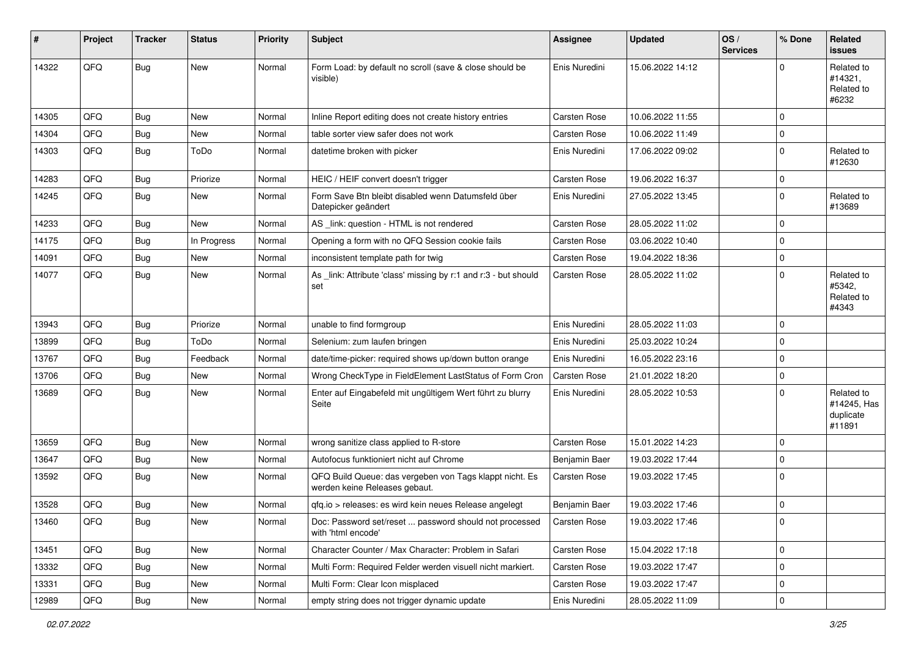| #     | Project | <b>Tracker</b> | <b>Status</b> | <b>Priority</b> | Subject                                                                                  | Assignee            | <b>Updated</b>   | OS/<br><b>Services</b> | % Done      | Related<br><b>issues</b>                         |
|-------|---------|----------------|---------------|-----------------|------------------------------------------------------------------------------------------|---------------------|------------------|------------------------|-------------|--------------------------------------------------|
| 14322 | QFQ     | Bug            | New           | Normal          | Form Load: by default no scroll (save & close should be<br>visible)                      | Enis Nuredini       | 15.06.2022 14:12 |                        | $\Omega$    | Related to<br>#14321,<br>Related to<br>#6232     |
| 14305 | QFQ     | Bug            | <b>New</b>    | Normal          | Inline Report editing does not create history entries                                    | Carsten Rose        | 10.06.2022 11:55 |                        | $\mathbf 0$ |                                                  |
| 14304 | QFQ     | <b>Bug</b>     | <b>New</b>    | Normal          | table sorter view safer does not work                                                    | <b>Carsten Rose</b> | 10.06.2022 11:49 |                        | 0           |                                                  |
| 14303 | QFQ     | Bug            | ToDo          | Normal          | datetime broken with picker                                                              | Enis Nuredini       | 17.06.2022 09:02 |                        | $\mathbf 0$ | Related to<br>#12630                             |
| 14283 | QFQ     | Bug            | Priorize      | Normal          | HEIC / HEIF convert doesn't trigger                                                      | <b>Carsten Rose</b> | 19.06.2022 16:37 |                        | $\mathbf 0$ |                                                  |
| 14245 | QFQ     | Bug            | New           | Normal          | Form Save Btn bleibt disabled wenn Datumsfeld über<br>Datepicker geändert                | Enis Nuredini       | 27.05.2022 13:45 |                        | 0           | Related to<br>#13689                             |
| 14233 | QFQ     | Bug            | New           | Normal          | AS _link: question - HTML is not rendered                                                | Carsten Rose        | 28.05.2022 11:02 |                        | $\mathbf 0$ |                                                  |
| 14175 | QFQ     | Bug            | In Progress   | Normal          | Opening a form with no QFQ Session cookie fails                                          | Carsten Rose        | 03.06.2022 10:40 |                        | $\mathbf 0$ |                                                  |
| 14091 | QFQ     | <b>Bug</b>     | <b>New</b>    | Normal          | inconsistent template path for twig                                                      | Carsten Rose        | 19.04.2022 18:36 |                        | $\mathbf 0$ |                                                  |
| 14077 | QFQ     | Bug            | New           | Normal          | As _link: Attribute 'class' missing by r:1 and r:3 - but should<br>set                   | <b>Carsten Rose</b> | 28.05.2022 11:02 |                        | $\mathbf 0$ | Related to<br>#5342.<br>Related to<br>#4343      |
| 13943 | QFQ     | Bug            | Priorize      | Normal          | unable to find formgroup                                                                 | Enis Nuredini       | 28.05.2022 11:03 |                        | $\mathbf 0$ |                                                  |
| 13899 | QFQ     | <b>Bug</b>     | ToDo          | Normal          | Selenium: zum laufen bringen                                                             | Enis Nuredini       | 25.03.2022 10:24 |                        | $\mathbf 0$ |                                                  |
| 13767 | QFQ     | <b>Bug</b>     | Feedback      | Normal          | date/time-picker: required shows up/down button orange                                   | Enis Nuredini       | 16.05.2022 23:16 |                        | 0           |                                                  |
| 13706 | QFQ     | <b>Bug</b>     | New           | Normal          | Wrong CheckType in FieldElement LastStatus of Form Cron                                  | Carsten Rose        | 21.01.2022 18:20 |                        | $\mathbf 0$ |                                                  |
| 13689 | QFQ     | Bug            | New           | Normal          | Enter auf Eingabefeld mit ungültigem Wert führt zu blurry<br>Seite                       | Enis Nuredini       | 28.05.2022 10:53 |                        | $\Omega$    | Related to<br>#14245, Has<br>duplicate<br>#11891 |
| 13659 | QFQ     | Bug            | New           | Normal          | wrong sanitize class applied to R-store                                                  | <b>Carsten Rose</b> | 15.01.2022 14:23 |                        | $\mathbf 0$ |                                                  |
| 13647 | QFQ     | Bug            | New           | Normal          | Autofocus funktioniert nicht auf Chrome                                                  | Benjamin Baer       | 19.03.2022 17:44 |                        | $\mathbf 0$ |                                                  |
| 13592 | QFQ     | <b>Bug</b>     | New           | Normal          | QFQ Build Queue: das vergeben von Tags klappt nicht. Es<br>werden keine Releases gebaut. | Carsten Rose        | 19.03.2022 17:45 |                        | $\mathbf 0$ |                                                  |
| 13528 | QFQ     | Bug            | New           | Normal          | qfq.io > releases: es wird kein neues Release angelegt                                   | Benjamin Baer       | 19.03.2022 17:46 |                        | $\mathbf 0$ |                                                  |
| 13460 | QFQ     | <b>Bug</b>     | <b>New</b>    | Normal          | Doc: Password set/reset  password should not processed<br>with 'html encode'             | Carsten Rose        | 19.03.2022 17:46 |                        | 0           |                                                  |
| 13451 | QFQ     | Bug            | <b>New</b>    | Normal          | Character Counter / Max Character: Problem in Safari                                     | Carsten Rose        | 15.04.2022 17:18 |                        | $\mathbf 0$ |                                                  |
| 13332 | QFQ     | Bug            | New           | Normal          | Multi Form: Required Felder werden visuell nicht markiert.                               | Carsten Rose        | 19.03.2022 17:47 |                        | 0           |                                                  |
| 13331 | QFQ     | <b>Bug</b>     | New           | Normal          | Multi Form: Clear Icon misplaced                                                         | Carsten Rose        | 19.03.2022 17:47 |                        | $\mathbf 0$ |                                                  |
| 12989 | QFQ     | <b>Bug</b>     | New           | Normal          | empty string does not trigger dynamic update                                             | Enis Nuredini       | 28.05.2022 11:09 |                        | 0           |                                                  |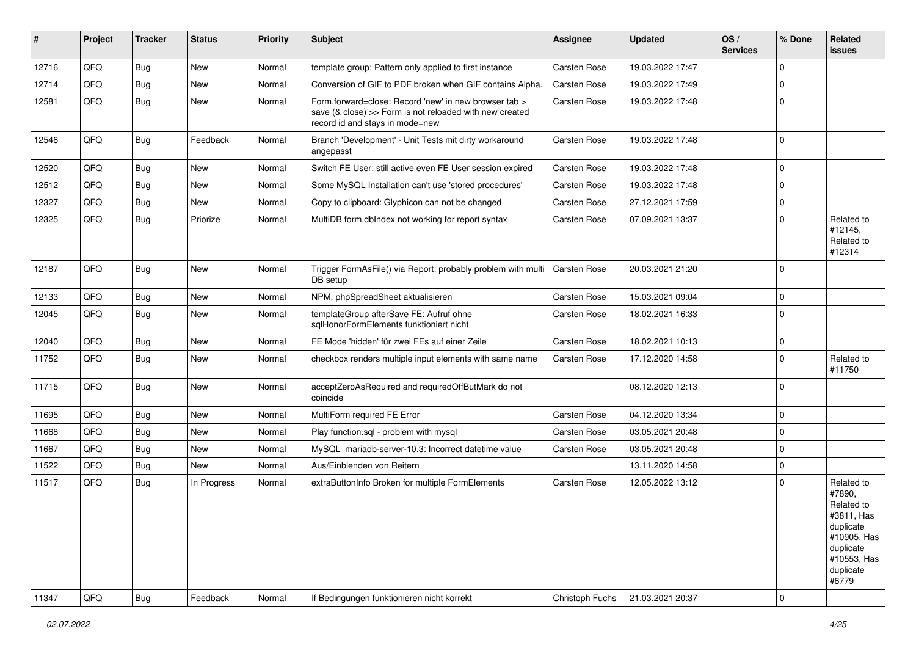| #     | Project | <b>Tracker</b> | <b>Status</b> | <b>Priority</b> | <b>Subject</b>                                                                                                                                      | <b>Assignee</b>     | <b>Updated</b>   | OS/<br><b>Services</b> | % Done      | Related<br><b>issues</b>                                                                                                       |
|-------|---------|----------------|---------------|-----------------|-----------------------------------------------------------------------------------------------------------------------------------------------------|---------------------|------------------|------------------------|-------------|--------------------------------------------------------------------------------------------------------------------------------|
| 12716 | QFQ     | <b>Bug</b>     | <b>New</b>    | Normal          | template group: Pattern only applied to first instance                                                                                              | Carsten Rose        | 19.03.2022 17:47 |                        | $\Omega$    |                                                                                                                                |
| 12714 | QFQ     | <b>Bug</b>     | New           | Normal          | Conversion of GIF to PDF broken when GIF contains Alpha.                                                                                            | Carsten Rose        | 19.03.2022 17:49 |                        | $\mathbf 0$ |                                                                                                                                |
| 12581 | QFQ     | Bug            | New           | Normal          | Form.forward=close: Record 'new' in new browser tab ><br>save (& close) >> Form is not reloaded with new created<br>record id and stays in mode=new | Carsten Rose        | 19.03.2022 17:48 |                        | $\mathbf 0$ |                                                                                                                                |
| 12546 | QFQ     | Bug            | Feedback      | Normal          | Branch 'Development' - Unit Tests mit dirty workaround<br>angepasst                                                                                 | Carsten Rose        | 19.03.2022 17:48 |                        | $\mathbf 0$ |                                                                                                                                |
| 12520 | QFQ     | <b>Bug</b>     | New           | Normal          | Switch FE User: still active even FE User session expired                                                                                           | <b>Carsten Rose</b> | 19.03.2022 17:48 |                        | $\mathbf 0$ |                                                                                                                                |
| 12512 | QFQ     | <b>Bug</b>     | <b>New</b>    | Normal          | Some MySQL Installation can't use 'stored procedures'                                                                                               | Carsten Rose        | 19.03.2022 17:48 |                        | $\mathbf 0$ |                                                                                                                                |
| 12327 | QFQ     | <b>Bug</b>     | New           | Normal          | Copy to clipboard: Glyphicon can not be changed                                                                                                     | <b>Carsten Rose</b> | 27.12.2021 17:59 |                        | $\mathbf 0$ |                                                                                                                                |
| 12325 | QFQ     | Bug            | Priorize      | Normal          | MultiDB form.dblndex not working for report syntax                                                                                                  | Carsten Rose        | 07.09.2021 13:37 |                        | $\Omega$    | Related to<br>#12145,<br>Related to<br>#12314                                                                                  |
| 12187 | QFQ     | <b>Bug</b>     | New           | Normal          | Trigger FormAsFile() via Report: probably problem with multi<br>DB setup                                                                            | <b>Carsten Rose</b> | 20.03.2021 21:20 |                        | $\Omega$    |                                                                                                                                |
| 12133 | QFQ     | <b>Bug</b>     | New           | Normal          | NPM, phpSpreadSheet aktualisieren                                                                                                                   | <b>Carsten Rose</b> | 15.03.2021 09:04 |                        | $\mathbf 0$ |                                                                                                                                |
| 12045 | QFQ     | Bug            | New           | Normal          | templateGroup afterSave FE: Aufruf ohne<br>sqlHonorFormElements funktioniert nicht                                                                  | Carsten Rose        | 18.02.2021 16:33 |                        | $\mathbf 0$ |                                                                                                                                |
| 12040 | QFQ     | <b>Bug</b>     | <b>New</b>    | Normal          | FE Mode 'hidden' für zwei FEs auf einer Zeile                                                                                                       | Carsten Rose        | 18.02.2021 10:13 |                        | $\mathbf 0$ |                                                                                                                                |
| 11752 | QFQ     | Bug            | New           | Normal          | checkbox renders multiple input elements with same name                                                                                             | <b>Carsten Rose</b> | 17.12.2020 14:58 |                        | $\mathbf 0$ | Related to<br>#11750                                                                                                           |
| 11715 | QFQ     | Bug            | New           | Normal          | acceptZeroAsRequired and requiredOffButMark do not<br>coincide                                                                                      |                     | 08.12.2020 12:13 |                        | $\mathbf 0$ |                                                                                                                                |
| 11695 | QFQ     | <b>Bug</b>     | <b>New</b>    | Normal          | MultiForm required FE Error                                                                                                                         | <b>Carsten Rose</b> | 04.12.2020 13:34 |                        | $\mathbf 0$ |                                                                                                                                |
| 11668 | QFQ     | <b>Bug</b>     | <b>New</b>    | Normal          | Play function.sql - problem with mysql                                                                                                              | <b>Carsten Rose</b> | 03.05.2021 20:48 |                        | $\mathbf 0$ |                                                                                                                                |
| 11667 | QFQ     | Bug            | New           | Normal          | MySQL mariadb-server-10.3: Incorrect datetime value                                                                                                 | Carsten Rose        | 03.05.2021 20:48 |                        | $\Omega$    |                                                                                                                                |
| 11522 | QFQ     | Bug            | New           | Normal          | Aus/Einblenden von Reitern                                                                                                                          |                     | 13.11.2020 14:58 |                        | $\mathbf 0$ |                                                                                                                                |
| 11517 | QFQ     | Bug            | In Progress   | Normal          | extraButtonInfo Broken for multiple FormElements                                                                                                    | Carsten Rose        | 12.05.2022 13:12 |                        | $\mathbf 0$ | Related to<br>#7890,<br>Related to<br>#3811, Has<br>duplicate<br>#10905, Has<br>duplicate<br>#10553, Has<br>duplicate<br>#6779 |
| 11347 | QFQ     | <b>Bug</b>     | Feedback      | Normal          | If Bedingungen funktionieren nicht korrekt                                                                                                          | Christoph Fuchs     | 21.03.2021 20:37 |                        | $\mathbf 0$ |                                                                                                                                |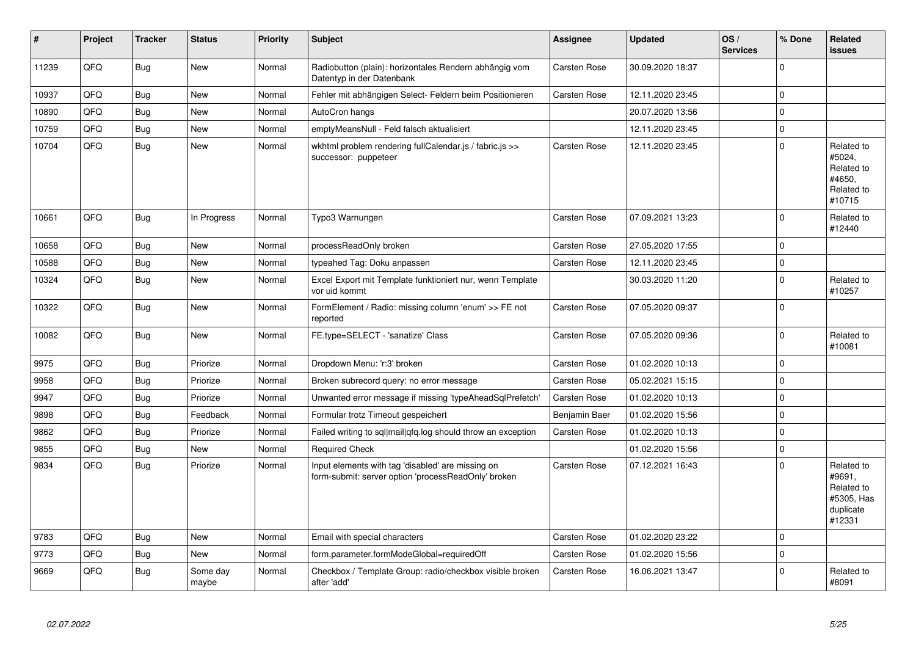| #     | Project | <b>Tracker</b> | <b>Status</b>     | <b>Priority</b> | <b>Subject</b>                                                                                           | <b>Assignee</b>     | <b>Updated</b>   | OS/<br><b>Services</b> | % Done      | Related<br><b>issues</b>                                                |
|-------|---------|----------------|-------------------|-----------------|----------------------------------------------------------------------------------------------------------|---------------------|------------------|------------------------|-------------|-------------------------------------------------------------------------|
| 11239 | QFQ     | <b>Bug</b>     | <b>New</b>        | Normal          | Radiobutton (plain): horizontales Rendern abhängig vom<br>Datentyp in der Datenbank                      | <b>Carsten Rose</b> | 30.09.2020 18:37 |                        | $\Omega$    |                                                                         |
| 10937 | QFQ     | <b>Bug</b>     | <b>New</b>        | Normal          | Fehler mit abhängigen Select- Feldern beim Positionieren                                                 | <b>Carsten Rose</b> | 12.11.2020 23:45 |                        | $\pmb{0}$   |                                                                         |
| 10890 | QFQ     | Bug            | <b>New</b>        | Normal          | AutoCron hangs                                                                                           |                     | 20.07.2020 13:56 |                        | $\mathbf 0$ |                                                                         |
| 10759 | QFQ     | <b>Bug</b>     | New               | Normal          | emptyMeansNull - Feld falsch aktualisiert                                                                |                     | 12.11.2020 23:45 |                        | $\pmb{0}$   |                                                                         |
| 10704 | QFQ     | <b>Bug</b>     | <b>New</b>        | Normal          | wkhtml problem rendering fullCalendar.js / fabric.js >><br>successor: puppeteer                          | <b>Carsten Rose</b> | 12.11.2020 23:45 |                        | $\mathbf 0$ | Related to<br>#5024,<br>Related to<br>#4650.<br>Related to<br>#10715    |
| 10661 | QFQ     | Bug            | In Progress       | Normal          | Typo3 Warnungen                                                                                          | <b>Carsten Rose</b> | 07.09.2021 13:23 |                        | $\mathbf 0$ | Related to<br>#12440                                                    |
| 10658 | QFQ     | <b>Bug</b>     | <b>New</b>        | Normal          | processReadOnly broken                                                                                   | <b>Carsten Rose</b> | 27.05.2020 17:55 |                        | $\mathbf 0$ |                                                                         |
| 10588 | QFQ     | <b>Bug</b>     | <b>New</b>        | Normal          | typeahed Tag: Doku anpassen                                                                              | <b>Carsten Rose</b> | 12.11.2020 23:45 |                        | $\mathbf 0$ |                                                                         |
| 10324 | QFQ     | Bug            | New               | Normal          | Excel Export mit Template funktioniert nur, wenn Template<br>vor uid kommt                               |                     | 30.03.2020 11:20 |                        | $\mathbf 0$ | Related to<br>#10257                                                    |
| 10322 | QFQ     | Bug            | <b>New</b>        | Normal          | FormElement / Radio: missing column 'enum' >> FE not<br>reported                                         | Carsten Rose        | 07.05.2020 09:37 |                        | $\mathbf 0$ |                                                                         |
| 10082 | QFQ     | <b>Bug</b>     | <b>New</b>        | Normal          | FE.type=SELECT - 'sanatize' Class                                                                        | Carsten Rose        | 07.05.2020 09:36 |                        | $\Omega$    | Related to<br>#10081                                                    |
| 9975  | QFQ     | Bug            | Priorize          | Normal          | Dropdown Menu: 'r:3' broken                                                                              | Carsten Rose        | 01.02.2020 10:13 |                        | $\mathbf 0$ |                                                                         |
| 9958  | QFQ     | <b>Bug</b>     | Priorize          | Normal          | Broken subrecord query: no error message                                                                 | <b>Carsten Rose</b> | 05.02.2021 15:15 |                        | $\mathbf 0$ |                                                                         |
| 9947  | QFQ     | <b>Bug</b>     | Priorize          | Normal          | Unwanted error message if missing 'typeAheadSqlPrefetch'                                                 | Carsten Rose        | 01.02.2020 10:13 |                        | $\mathbf 0$ |                                                                         |
| 9898  | QFQ     | <b>Bug</b>     | Feedback          | Normal          | Formular trotz Timeout gespeichert                                                                       | Benjamin Baer       | 01.02.2020 15:56 |                        | $\mathbf 0$ |                                                                         |
| 9862  | QFQ     | <b>Bug</b>     | Priorize          | Normal          | Failed writing to sql mail qfq.log should throw an exception                                             | <b>Carsten Rose</b> | 01.02.2020 10:13 |                        | $\mathbf 0$ |                                                                         |
| 9855  | QFQ     | Bug            | <b>New</b>        | Normal          | <b>Required Check</b>                                                                                    |                     | 01.02.2020 15:56 |                        | $\mathbf 0$ |                                                                         |
| 9834  | QFQ     | <b>Bug</b>     | Priorize          | Normal          | Input elements with tag 'disabled' are missing on<br>form-submit: server option 'processReadOnly' broken | <b>Carsten Rose</b> | 07.12.2021 16:43 |                        | $\Omega$    | Related to<br>#9691,<br>Related to<br>#5305, Has<br>duplicate<br>#12331 |
| 9783  | QFQ     | Bug            | <b>New</b>        | Normal          | Email with special characters                                                                            | <b>Carsten Rose</b> | 01.02.2020 23:22 |                        | $\mathbf 0$ |                                                                         |
| 9773  | QFQ     | <b>Bug</b>     | <b>New</b>        | Normal          | form.parameter.formModeGlobal=requiredOff                                                                | <b>Carsten Rose</b> | 01.02.2020 15:56 |                        | $\pmb{0}$   |                                                                         |
| 9669  | QFQ     | Bug            | Some day<br>maybe | Normal          | Checkbox / Template Group: radio/checkbox visible broken<br>after 'add'                                  | <b>Carsten Rose</b> | 16.06.2021 13:47 |                        | $\Omega$    | Related to<br>#8091                                                     |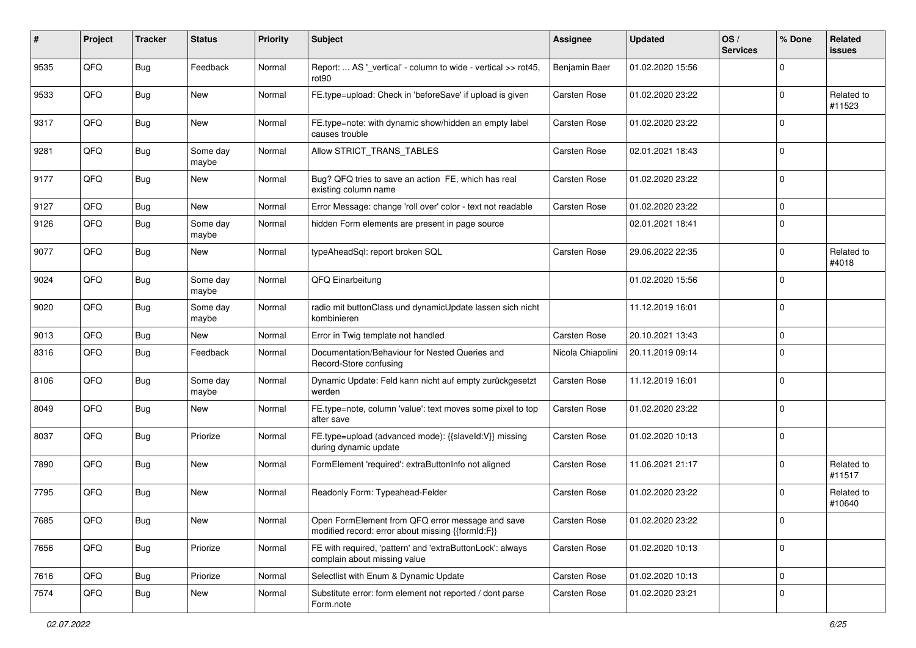| $\pmb{\#}$ | Project | <b>Tracker</b> | <b>Status</b>     | <b>Priority</b> | Subject                                                                                               | <b>Assignee</b>     | <b>Updated</b>   | OS/<br><b>Services</b> | % Done         | Related<br><b>issues</b> |
|------------|---------|----------------|-------------------|-----------------|-------------------------------------------------------------------------------------------------------|---------------------|------------------|------------------------|----------------|--------------------------|
| 9535       | QFQ     | <b>Bug</b>     | Feedback          | Normal          | Report:  AS '_vertical' - column to wide - vertical >> rot45,<br>rot <sub>90</sub>                    | Benjamin Baer       | 01.02.2020 15:56 |                        | $\Omega$       |                          |
| 9533       | QFQ     | Bug            | <b>New</b>        | Normal          | FE.type=upload: Check in 'beforeSave' if upload is given                                              | <b>Carsten Rose</b> | 01.02.2020 23:22 |                        | $\mathbf 0$    | Related to<br>#11523     |
| 9317       | QFQ     | Bug            | <b>New</b>        | Normal          | FE.type=note: with dynamic show/hidden an empty label<br>causes trouble                               | Carsten Rose        | 01.02.2020 23:22 |                        | $\mathbf 0$    |                          |
| 9281       | QFQ     | <b>Bug</b>     | Some day<br>maybe | Normal          | Allow STRICT_TRANS_TABLES                                                                             | Carsten Rose        | 02.01.2021 18:43 |                        | $\overline{0}$ |                          |
| 9177       | QFQ     | Bug            | <b>New</b>        | Normal          | Bug? QFQ tries to save an action FE, which has real<br>existing column name                           | <b>Carsten Rose</b> | 01.02.2020 23:22 |                        | $\mathbf 0$    |                          |
| 9127       | QFQ     | <b>Bug</b>     | New               | Normal          | Error Message: change 'roll over' color - text not readable                                           | Carsten Rose        | 01.02.2020 23:22 |                        | $\mathbf 0$    |                          |
| 9126       | QFQ     | Bug            | Some day<br>maybe | Normal          | hidden Form elements are present in page source                                                       |                     | 02.01.2021 18:41 |                        | $\mathbf 0$    |                          |
| 9077       | QFQ     | Bug            | New               | Normal          | typeAheadSql: report broken SQL                                                                       | Carsten Rose        | 29.06.2022 22:35 |                        | $\overline{0}$ | Related to<br>#4018      |
| 9024       | QFQ     | <b>Bug</b>     | Some day<br>maybe | Normal          | QFQ Einarbeitung                                                                                      |                     | 01.02.2020 15:56 |                        | $\mathbf 0$    |                          |
| 9020       | QFQ     | Bug            | Some day<br>maybe | Normal          | radio mit buttonClass und dynamicUpdate lassen sich nicht<br>kombinieren                              |                     | 11.12.2019 16:01 |                        | $\overline{0}$ |                          |
| 9013       | QFQ     | Bug            | <b>New</b>        | Normal          | Error in Twig template not handled                                                                    | <b>Carsten Rose</b> | 20.10.2021 13:43 |                        | $\pmb{0}$      |                          |
| 8316       | QFQ     | Bug            | Feedback          | Normal          | Documentation/Behaviour for Nested Queries and<br>Record-Store confusing                              | Nicola Chiapolini   | 20.11.2019 09:14 |                        | $\mathbf 0$    |                          |
| 8106       | QFQ     | Bug            | Some day<br>maybe | Normal          | Dynamic Update: Feld kann nicht auf empty zurückgesetzt<br>werden                                     | <b>Carsten Rose</b> | 11.12.2019 16:01 |                        | 0              |                          |
| 8049       | QFQ     | Bug            | New               | Normal          | FE.type=note, column 'value': text moves some pixel to top<br>after save                              | Carsten Rose        | 01.02.2020 23:22 |                        | $\overline{0}$ |                          |
| 8037       | QFQ     | <b>Bug</b>     | Priorize          | Normal          | FE.type=upload (advanced mode): {{slaveId:V}} missing<br>during dynamic update                        | Carsten Rose        | 01.02.2020 10:13 |                        | $\mathbf 0$    |                          |
| 7890       | QFQ     | <b>Bug</b>     | New               | Normal          | FormElement 'required': extraButtonInfo not aligned                                                   | Carsten Rose        | 11.06.2021 21:17 |                        | $\mathbf 0$    | Related to<br>#11517     |
| 7795       | QFQ     | Bug            | <b>New</b>        | Normal          | Readonly Form: Typeahead-Felder                                                                       | Carsten Rose        | 01.02.2020 23:22 |                        | $\mathbf 0$    | Related to<br>#10640     |
| 7685       | QFQ     | <b>Bug</b>     | New               | Normal          | Open FormElement from QFQ error message and save<br>modified record: error about missing {{formId:F}} | Carsten Rose        | 01.02.2020 23:22 |                        | U              |                          |
| 7656       | QFQ     | <b>Bug</b>     | Priorize          | Normal          | FE with required, 'pattern' and 'extraButtonLock': always<br>complain about missing value             | Carsten Rose        | 01.02.2020 10:13 |                        | $\overline{0}$ |                          |
| 7616       | QFQ     | Bug            | Priorize          | Normal          | Selectlist with Enum & Dynamic Update                                                                 | Carsten Rose        | 01.02.2020 10:13 |                        | $\overline{0}$ |                          |
| 7574       | QFQ     | Bug            | New               | Normal          | Substitute error: form element not reported / dont parse<br>Form.note                                 | Carsten Rose        | 01.02.2020 23:21 |                        | $\mathbf 0$    |                          |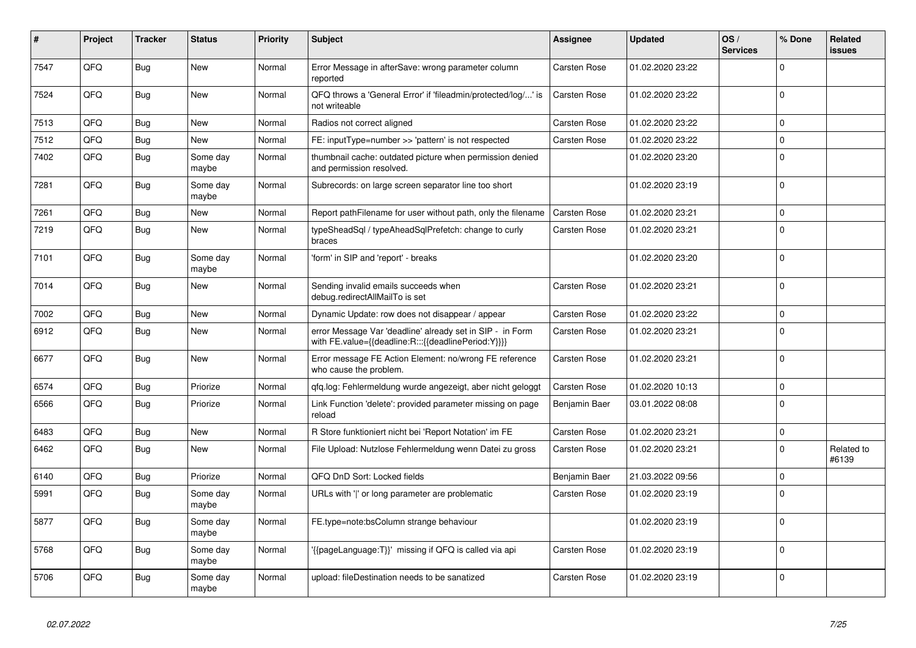| #    | Project | <b>Tracker</b> | <b>Status</b>     | <b>Priority</b> | <b>Subject</b>                                                                                                   | Assignee            | <b>Updated</b>   | OS/<br><b>Services</b> | % Done       | Related<br><b>issues</b> |
|------|---------|----------------|-------------------|-----------------|------------------------------------------------------------------------------------------------------------------|---------------------|------------------|------------------------|--------------|--------------------------|
| 7547 | QFQ     | <b>Bug</b>     | <b>New</b>        | Normal          | Error Message in afterSave: wrong parameter column<br>reported                                                   | Carsten Rose        | 01.02.2020 23:22 |                        | $\Omega$     |                          |
| 7524 | QFQ     | <b>Bug</b>     | <b>New</b>        | Normal          | QFQ throws a 'General Error' if 'fileadmin/protected/log/' is<br>not writeable                                   | <b>Carsten Rose</b> | 01.02.2020 23:22 |                        | $\Omega$     |                          |
| 7513 | QFQ     | <b>Bug</b>     | <b>New</b>        | Normal          | Radios not correct aligned                                                                                       | Carsten Rose        | 01.02.2020 23:22 |                        | $\Omega$     |                          |
| 7512 | QFQ     | <b>Bug</b>     | <b>New</b>        | Normal          | FE: inputType=number >> 'pattern' is not respected                                                               | Carsten Rose        | 01.02.2020 23:22 |                        | $\Omega$     |                          |
| 7402 | QFQ     | Bug            | Some day<br>maybe | Normal          | thumbnail cache: outdated picture when permission denied<br>and permission resolved.                             |                     | 01.02.2020 23:20 |                        | $\mathbf{0}$ |                          |
| 7281 | QFQ     | <b>Bug</b>     | Some day<br>maybe | Normal          | Subrecords: on large screen separator line too short                                                             |                     | 01.02.2020 23:19 |                        | $\mathbf 0$  |                          |
| 7261 | QFQ     | <b>Bug</b>     | New               | Normal          | Report pathFilename for user without path, only the filename                                                     | Carsten Rose        | 01.02.2020 23:21 |                        | $\Omega$     |                          |
| 7219 | QFQ     | Bug            | <b>New</b>        | Normal          | typeSheadSql / typeAheadSqlPrefetch: change to curly<br>braces                                                   | Carsten Rose        | 01.02.2020 23:21 |                        | $\Omega$     |                          |
| 7101 | QFQ     | <b>Bug</b>     | Some day<br>maybe | Normal          | 'form' in SIP and 'report' - breaks                                                                              |                     | 01.02.2020 23:20 |                        | $\Omega$     |                          |
| 7014 | QFQ     | Bug            | New               | Normal          | Sending invalid emails succeeds when<br>debug.redirectAllMailTo is set                                           | <b>Carsten Rose</b> | 01.02.2020 23:21 |                        | $\mathbf 0$  |                          |
| 7002 | QFQ     | <b>Bug</b>     | <b>New</b>        | Normal          | Dynamic Update: row does not disappear / appear                                                                  | <b>Carsten Rose</b> | 01.02.2020 23:22 |                        | $\Omega$     |                          |
| 6912 | QFQ     | Bug            | New               | Normal          | error Message Var 'deadline' already set in SIP - in Form<br>with FE.value={{deadline:R:::{{deadlinePeriod:Y}}}} | Carsten Rose        | 01.02.2020 23:21 |                        | $\Omega$     |                          |
| 6677 | QFQ     | Bug            | <b>New</b>        | Normal          | Error message FE Action Element: no/wrong FE reference<br>who cause the problem.                                 | Carsten Rose        | 01.02.2020 23:21 |                        | $\Omega$     |                          |
| 6574 | QFQ     | <b>Bug</b>     | Priorize          | Normal          | gfg.log: Fehlermeldung wurde angezeigt, aber nicht geloggt                                                       | Carsten Rose        | 01.02.2020 10:13 |                        | $\Omega$     |                          |
| 6566 | QFQ     | Bug            | Priorize          | Normal          | Link Function 'delete': provided parameter missing on page<br>reload                                             | Benjamin Baer       | 03.01.2022 08:08 |                        | $\Omega$     |                          |
| 6483 | QFQ     | Bug            | New               | Normal          | R Store funktioniert nicht bei 'Report Notation' im FE                                                           | Carsten Rose        | 01.02.2020 23:21 |                        | $\Omega$     |                          |
| 6462 | QFQ     | Bug            | New               | Normal          | File Upload: Nutzlose Fehlermeldung wenn Datei zu gross                                                          | Carsten Rose        | 01.02.2020 23:21 |                        | $\Omega$     | Related to<br>#6139      |
| 6140 | QFQ     | Bug            | Priorize          | Normal          | QFQ DnD Sort: Locked fields                                                                                      | Benjamin Baer       | 21.03.2022 09:56 |                        | $\mathbf 0$  |                          |
| 5991 | QFQ     | <b>Bug</b>     | Some day<br>maybe | Normal          | URLs with ' ' or long parameter are problematic                                                                  | Carsten Rose        | 01.02.2020 23:19 |                        | $\Omega$     |                          |
| 5877 | QFQ     | Bug            | Some day<br>maybe | Normal          | FE.type=note:bsColumn strange behaviour                                                                          |                     | 01.02.2020 23:19 |                        | $\Omega$     |                          |
| 5768 | QFQ     | <b>Bug</b>     | Some day<br>maybe | Normal          | '{{pageLanguage:T}}' missing if QFQ is called via api                                                            | Carsten Rose        | 01.02.2020 23:19 |                        | $\Omega$     |                          |
| 5706 | QFQ     | Bug            | Some day<br>maybe | Normal          | upload: fileDestination needs to be sanatized                                                                    | Carsten Rose        | 01.02.2020 23:19 |                        | $\Omega$     |                          |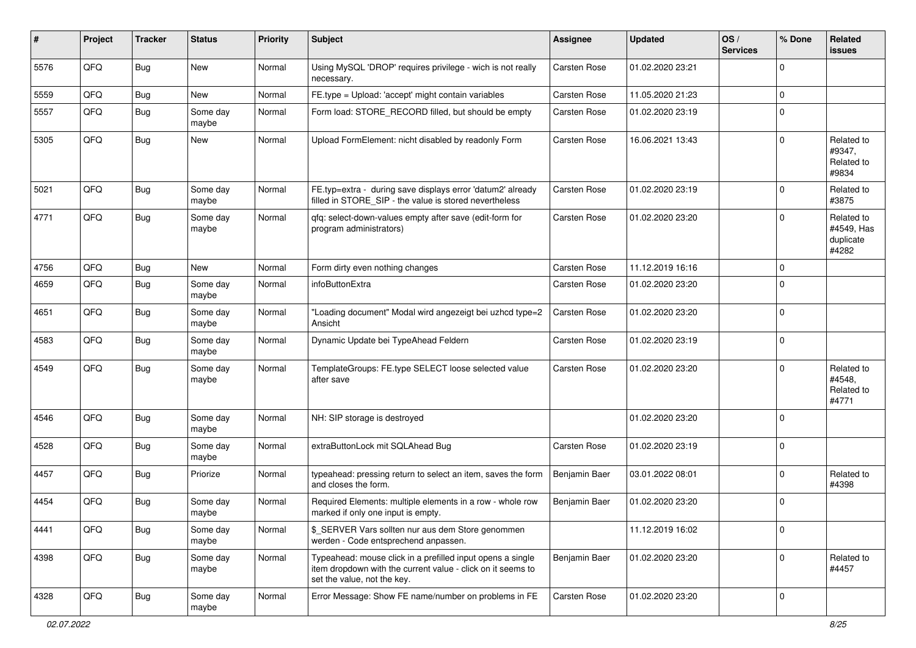| $\sharp$ | Project | <b>Tracker</b> | <b>Status</b>     | <b>Priority</b> | <b>Subject</b>                                                                                                                                           | <b>Assignee</b>     | <b>Updated</b>   | OS/<br><b>Services</b> | % Done      | Related<br>issues                              |
|----------|---------|----------------|-------------------|-----------------|----------------------------------------------------------------------------------------------------------------------------------------------------------|---------------------|------------------|------------------------|-------------|------------------------------------------------|
| 5576     | QFQ     | Bug            | New               | Normal          | Using MySQL 'DROP' requires privilege - wich is not really<br>necessary.                                                                                 | Carsten Rose        | 01.02.2020 23:21 |                        | $\Omega$    |                                                |
| 5559     | QFQ     | <b>Bug</b>     | New               | Normal          | FE.type = Upload: 'accept' might contain variables                                                                                                       | Carsten Rose        | 11.05.2020 21:23 |                        | 0           |                                                |
| 5557     | QFQ     | <b>Bug</b>     | Some day<br>maybe | Normal          | Form load: STORE_RECORD filled, but should be empty                                                                                                      | Carsten Rose        | 01.02.2020 23:19 |                        | $\mathbf 0$ |                                                |
| 5305     | QFQ     | Bug            | New               | Normal          | Upload FormElement: nicht disabled by readonly Form                                                                                                      | <b>Carsten Rose</b> | 16.06.2021 13:43 |                        | $\mathbf 0$ | Related to<br>#9347,<br>Related to<br>#9834    |
| 5021     | QFQ     | Bug            | Some day<br>maybe | Normal          | FE.typ=extra - during save displays error 'datum2' already<br>filled in STORE_SIP - the value is stored nevertheless                                     | <b>Carsten Rose</b> | 01.02.2020 23:19 |                        | 0           | Related to<br>#3875                            |
| 4771     | QFQ     | <b>Bug</b>     | Some day<br>maybe | Normal          | qfq: select-down-values empty after save (edit-form for<br>program administrators)                                                                       | <b>Carsten Rose</b> | 01.02.2020 23:20 |                        | $\mathbf 0$ | Related to<br>#4549, Has<br>duplicate<br>#4282 |
| 4756     | QFQ     | Bug            | New               | Normal          | Form dirty even nothing changes                                                                                                                          | <b>Carsten Rose</b> | 11.12.2019 16:16 |                        | $\mathbf 0$ |                                                |
| 4659     | QFQ     | <b>Bug</b>     | Some day<br>maybe | Normal          | infoButtonExtra                                                                                                                                          | Carsten Rose        | 01.02.2020 23:20 |                        | $\mathbf 0$ |                                                |
| 4651     | QFQ     | <b>Bug</b>     | Some day<br>maybe | Normal          | "Loading document" Modal wird angezeigt bei uzhcd type=2<br>Ansicht                                                                                      | Carsten Rose        | 01.02.2020 23:20 |                        | $\mathbf 0$ |                                                |
| 4583     | QFQ     | Bug            | Some day<br>maybe | Normal          | Dynamic Update bei TypeAhead Feldern                                                                                                                     | <b>Carsten Rose</b> | 01.02.2020 23:19 |                        | $\mathbf 0$ |                                                |
| 4549     | QFQ     | Bug            | Some day<br>maybe | Normal          | TemplateGroups: FE.type SELECT loose selected value<br>after save                                                                                        | <b>Carsten Rose</b> | 01.02.2020 23:20 |                        | $\mathbf 0$ | Related to<br>#4548,<br>Related to<br>#4771    |
| 4546     | QFQ     | Bug            | Some day<br>maybe | Normal          | NH: SIP storage is destroyed                                                                                                                             |                     | 01.02.2020 23:20 |                        | $\mathbf 0$ |                                                |
| 4528     | QFQ     | Bug            | Some day<br>maybe | Normal          | extraButtonLock mit SQLAhead Bug                                                                                                                         | <b>Carsten Rose</b> | 01.02.2020 23:19 |                        | 0           |                                                |
| 4457     | QFQ     | <b>Bug</b>     | Priorize          | Normal          | typeahead: pressing return to select an item, saves the form<br>and closes the form.                                                                     | Benjamin Baer       | 03.01.2022 08:01 |                        | 0           | Related to<br>#4398                            |
| 4454     | QFQ     | Bug            | Some day<br>maybe | Normal          | Required Elements: multiple elements in a row - whole row<br>marked if only one input is empty.                                                          | Benjamin Baer       | 01.02.2020 23:20 |                        | 0           |                                                |
| 4441     | QFQ     | Bug            | Some day<br>maybe | Normal          | \$ SERVER Vars sollten nur aus dem Store genommen<br>werden - Code entsprechend anpassen.                                                                |                     | 11.12.2019 16:02 |                        | $\pmb{0}$   |                                                |
| 4398     | QFQ     | Bug            | Some day<br>maybe | Normal          | Typeahead: mouse click in a prefilled input opens a single<br>item dropdown with the current value - click on it seems to<br>set the value, not the key. | Benjamin Baer       | 01.02.2020 23:20 |                        | $\mathbf 0$ | Related to<br>#4457                            |
| 4328     | QFQ     | Bug            | Some day<br>maybe | Normal          | Error Message: Show FE name/number on problems in FE                                                                                                     | Carsten Rose        | 01.02.2020 23:20 |                        | 0           |                                                |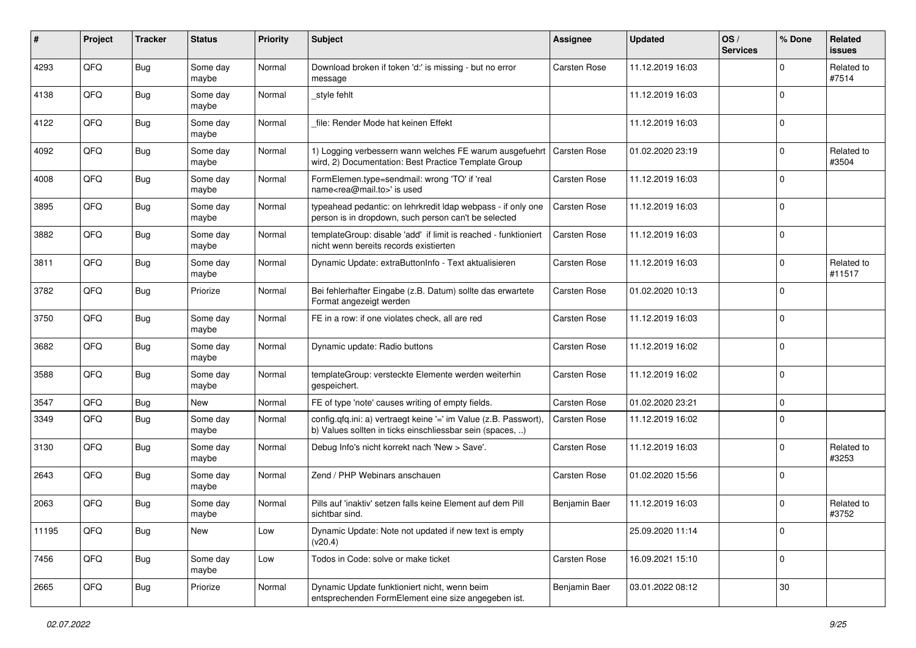| #     | Project | <b>Tracker</b> | <b>Status</b>     | <b>Priority</b> | Subject                                                                                                                       | Assignee            | <b>Updated</b>   | OS/<br><b>Services</b> | % Done      | Related<br><b>issues</b> |
|-------|---------|----------------|-------------------|-----------------|-------------------------------------------------------------------------------------------------------------------------------|---------------------|------------------|------------------------|-------------|--------------------------|
| 4293  | QFQ     | <b>Bug</b>     | Some day<br>maybe | Normal          | Download broken if token 'd:' is missing - but no error<br>message                                                            | <b>Carsten Rose</b> | 11.12.2019 16:03 |                        | $\mathbf 0$ | Related to<br>#7514      |
| 4138  | QFQ     | Bug            | Some day<br>maybe | Normal          | style fehlt                                                                                                                   |                     | 11.12.2019 16:03 |                        | $\mathbf 0$ |                          |
| 4122  | QFQ     | Bug            | Some day<br>maybe | Normal          | file: Render Mode hat keinen Effekt                                                                                           |                     | 11.12.2019 16:03 |                        | $\mathbf 0$ |                          |
| 4092  | QFQ     | <b>Bug</b>     | Some day<br>maybe | Normal          | 1) Logging verbessern wann welches FE warum ausgefuehrt<br>wird, 2) Documentation: Best Practice Template Group               | <b>Carsten Rose</b> | 01.02.2020 23:19 |                        | 0           | Related to<br>#3504      |
| 4008  | QFQ     | <b>Bug</b>     | Some day<br>maybe | Normal          | FormElemen.type=sendmail: wrong 'TO' if 'real<br>name <rea@mail.to>' is used</rea@mail.to>                                    | <b>Carsten Rose</b> | 11.12.2019 16:03 |                        | $\mathbf 0$ |                          |
| 3895  | QFQ     | Bug            | Some day<br>maybe | Normal          | typeahead pedantic: on lehrkredit Idap webpass - if only one<br>person is in dropdown, such person can't be selected          | <b>Carsten Rose</b> | 11.12.2019 16:03 |                        | $\mathbf 0$ |                          |
| 3882  | QFQ     | <b>Bug</b>     | Some day<br>maybe | Normal          | templateGroup: disable 'add' if limit is reached - funktioniert<br>nicht wenn bereits records existierten                     | <b>Carsten Rose</b> | 11.12.2019 16:03 |                        | $\mathbf 0$ |                          |
| 3811  | QFQ     | <b>Bug</b>     | Some day<br>maybe | Normal          | Dynamic Update: extraButtonInfo - Text aktualisieren                                                                          | <b>Carsten Rose</b> | 11.12.2019 16:03 |                        | $\mathbf 0$ | Related to<br>#11517     |
| 3782  | QFQ     | Bug            | Priorize          | Normal          | Bei fehlerhafter Eingabe (z.B. Datum) sollte das erwartete<br>Format angezeigt werden                                         | Carsten Rose        | 01.02.2020 10:13 |                        | $\mathbf 0$ |                          |
| 3750  | QFQ     | Bug            | Some day<br>maybe | Normal          | FE in a row: if one violates check, all are red                                                                               | <b>Carsten Rose</b> | 11.12.2019 16:03 |                        | $\mathbf 0$ |                          |
| 3682  | QFQ     | <b>Bug</b>     | Some day<br>maybe | Normal          | Dynamic update: Radio buttons                                                                                                 | <b>Carsten Rose</b> | 11.12.2019 16:02 |                        | $\mathbf 0$ |                          |
| 3588  | QFQ     | Bug            | Some day<br>maybe | Normal          | templateGroup: versteckte Elemente werden weiterhin<br>gespeichert.                                                           | <b>Carsten Rose</b> | 11.12.2019 16:02 |                        | $\mathbf 0$ |                          |
| 3547  | QFQ     | Bug            | <b>New</b>        | Normal          | FE of type 'note' causes writing of empty fields.                                                                             | Carsten Rose        | 01.02.2020 23:21 |                        | $\mathbf 0$ |                          |
| 3349  | QFQ     | <b>Bug</b>     | Some day<br>maybe | Normal          | config.qfq.ini: a) vertraegt keine '=' im Value (z.B. Passwort),<br>b) Values sollten in ticks einschliessbar sein (spaces, ) | Carsten Rose        | 11.12.2019 16:02 |                        | $\mathbf 0$ |                          |
| 3130  | QFQ     | Bug            | Some day<br>maybe | Normal          | Debug Info's nicht korrekt nach 'New > Save'.                                                                                 | Carsten Rose        | 11.12.2019 16:03 |                        | $\mathbf 0$ | Related to<br>#3253      |
| 2643  | QFQ     | <b>Bug</b>     | Some day<br>maybe | Normal          | Zend / PHP Webinars anschauen                                                                                                 | Carsten Rose        | 01.02.2020 15:56 |                        | $\mathbf 0$ |                          |
| 2063  | QFQ     | <b>Bug</b>     | Some day<br>maybe | Normal          | Pills auf 'inaktiv' setzen falls keine Element auf dem Pill<br>sichtbar sind.                                                 | Benjamin Baer       | 11.12.2019 16:03 |                        | $\mathbf 0$ | Related to<br>#3752      |
| 11195 | QFQ     | <b>Bug</b>     | New               | Low             | Dynamic Update: Note not updated if new text is empty<br>(v20.4)                                                              |                     | 25.09.2020 11:14 |                        | $\mathbf 0$ |                          |
| 7456  | QFQ     | <b>Bug</b>     | Some day<br>maybe | Low             | Todos in Code: solve or make ticket                                                                                           | Carsten Rose        | 16.09.2021 15:10 |                        | $\pmb{0}$   |                          |
| 2665  | QFQ     | <b>Bug</b>     | Priorize          | Normal          | Dynamic Update funktioniert nicht, wenn beim<br>entsprechenden FormElement eine size angegeben ist.                           | Benjamin Baer       | 03.01.2022 08:12 |                        | $30\,$      |                          |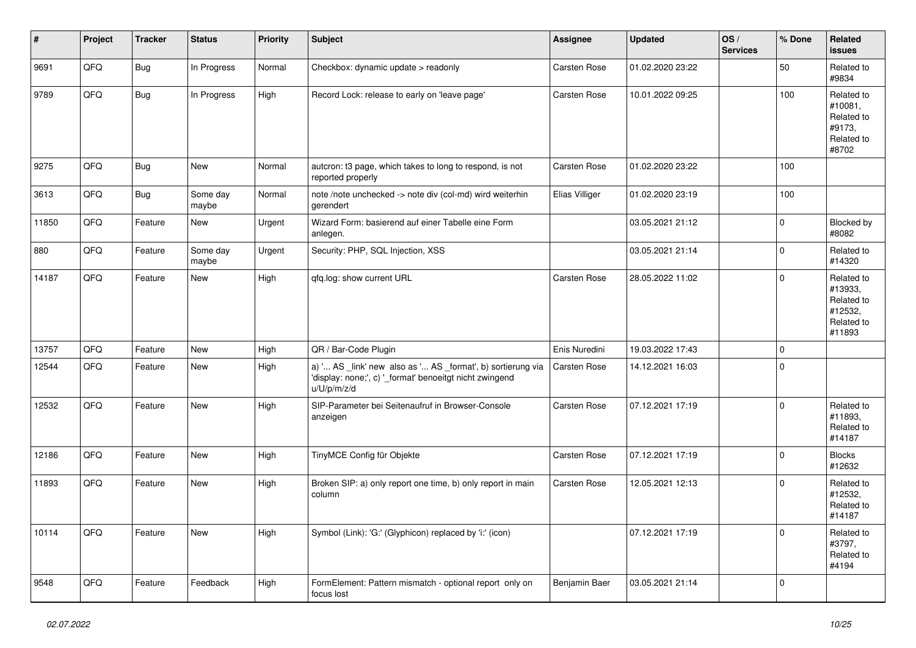| #     | Project | <b>Tracker</b> | <b>Status</b>     | <b>Priority</b> | Subject                                                                                                                               | Assignee            | <b>Updated</b>   | OS/<br><b>Services</b> | % Done      | Related<br>issues                                                      |
|-------|---------|----------------|-------------------|-----------------|---------------------------------------------------------------------------------------------------------------------------------------|---------------------|------------------|------------------------|-------------|------------------------------------------------------------------------|
| 9691  | QFQ     | Bug            | In Progress       | Normal          | Checkbox: dynamic update > readonly                                                                                                   | <b>Carsten Rose</b> | 01.02.2020 23:22 |                        | 50          | Related to<br>#9834                                                    |
| 9789  | QFQ     | Bug            | In Progress       | High            | Record Lock: release to early on 'leave page'                                                                                         | Carsten Rose        | 10.01.2022 09:25 |                        | 100         | Related to<br>#10081.<br>Related to<br>#9173,<br>Related to<br>#8702   |
| 9275  | QFQ     | Bug            | <b>New</b>        | Normal          | autcron: t3 page, which takes to long to respond, is not<br>reported properly                                                         | Carsten Rose        | 01.02.2020 23:22 |                        | 100         |                                                                        |
| 3613  | QFQ     | <b>Bug</b>     | Some day<br>maybe | Normal          | note /note unchecked -> note div (col-md) wird weiterhin<br>aerendert                                                                 | Elias Villiger      | 01.02.2020 23:19 |                        | 100         |                                                                        |
| 11850 | QFQ     | Feature        | <b>New</b>        | Urgent          | Wizard Form: basierend auf einer Tabelle eine Form<br>anlegen.                                                                        |                     | 03.05.2021 21:12 |                        | $\mathbf 0$ | Blocked by<br>#8082                                                    |
| 880   | QFQ     | Feature        | Some day<br>maybe | Urgent          | Security: PHP, SQL Injection, XSS                                                                                                     |                     | 03.05.2021 21:14 |                        | $\mathbf 0$ | Related to<br>#14320                                                   |
| 14187 | QFQ     | Feature        | <b>New</b>        | High            | qfq.log: show current URL                                                                                                             | Carsten Rose        | 28.05.2022 11:02 |                        | $\pmb{0}$   | Related to<br>#13933,<br>Related to<br>#12532,<br>Related to<br>#11893 |
| 13757 | QFQ     | Feature        | <b>New</b>        | High            | QR / Bar-Code Plugin                                                                                                                  | Enis Nuredini       | 19.03.2022 17:43 |                        | $\mathbf 0$ |                                                                        |
| 12544 | QFQ     | Feature        | <b>New</b>        | High            | a) ' AS _link' new also as ' AS _format', b) sortierung via<br>'display: none;', c) '_format' benoeitgt nicht zwingend<br>u/U/p/m/z/d | Carsten Rose        | 14.12.2021 16:03 |                        | $\mathbf 0$ |                                                                        |
| 12532 | QFQ     | Feature        | <b>New</b>        | High            | SIP-Parameter bei Seitenaufruf in Browser-Console<br>anzeigen                                                                         | <b>Carsten Rose</b> | 07.12.2021 17:19 |                        | $\Omega$    | Related to<br>#11893,<br>Related to<br>#14187                          |
| 12186 | QFQ     | Feature        | New               | High            | TinyMCE Config für Objekte                                                                                                            | Carsten Rose        | 07.12.2021 17:19 |                        | $\mathbf 0$ | <b>Blocks</b><br>#12632                                                |
| 11893 | QFQ     | Feature        | <b>New</b>        | High            | Broken SIP: a) only report one time, b) only report in main<br>column                                                                 | Carsten Rose        | 12.05.2021 12:13 |                        | $\Omega$    | Related to<br>#12532.<br>Related to<br>#14187                          |
| 10114 | QFQ     | Feature        | <b>New</b>        | High            | Symbol (Link): 'G:' (Glyphicon) replaced by 'i:' (icon)                                                                               |                     | 07.12.2021 17:19 |                        | $\Omega$    | Related to<br>#3797,<br>Related to<br>#4194                            |
| 9548  | QFQ     | Feature        | Feedback          | High            | FormElement: Pattern mismatch - optional report only on<br>focus lost                                                                 | Benjamin Baer       | 03.05.2021 21:14 |                        | $\mathbf 0$ |                                                                        |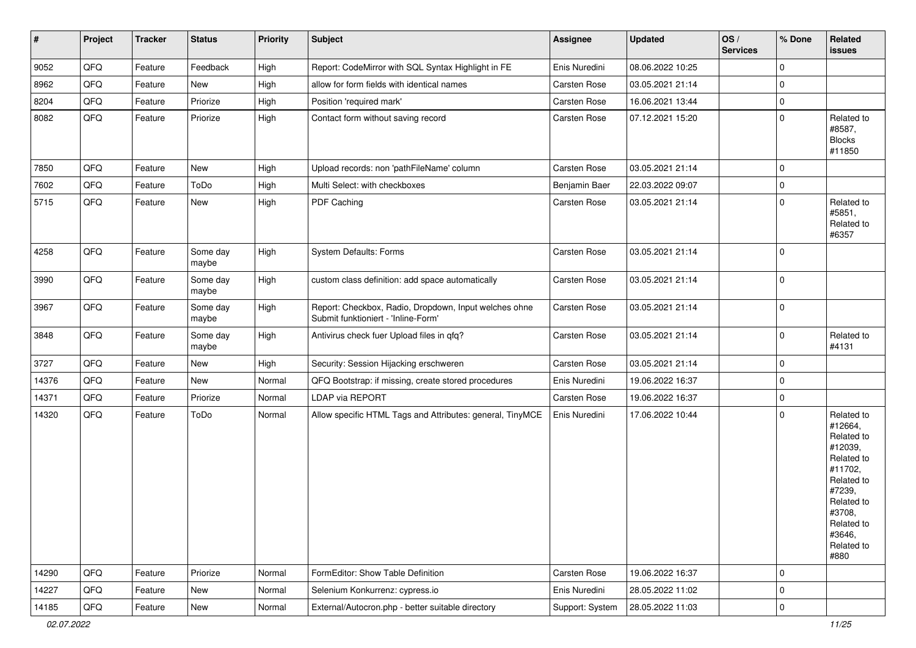| $\vert$ # | Project | Tracker | <b>Status</b>     | <b>Priority</b> | <b>Subject</b>                                                                               | <b>Assignee</b>     | <b>Updated</b>   | OS/<br><b>Services</b> | % Done      | Related<br>issues                                                                                                                                                     |
|-----------|---------|---------|-------------------|-----------------|----------------------------------------------------------------------------------------------|---------------------|------------------|------------------------|-------------|-----------------------------------------------------------------------------------------------------------------------------------------------------------------------|
| 9052      | QFQ     | Feature | Feedback          | High            | Report: CodeMirror with SQL Syntax Highlight in FE                                           | Enis Nuredini       | 08.06.2022 10:25 |                        | $\mathbf 0$ |                                                                                                                                                                       |
| 8962      | QFQ     | Feature | New               | High            | allow for form fields with identical names                                                   | Carsten Rose        | 03.05.2021 21:14 |                        | $\mathbf 0$ |                                                                                                                                                                       |
| 8204      | QFQ     | Feature | Priorize          | High            | Position 'required mark'                                                                     | Carsten Rose        | 16.06.2021 13:44 |                        | $\mathbf 0$ |                                                                                                                                                                       |
| 8082      | QFQ     | Feature | Priorize          | High            | Contact form without saving record                                                           | Carsten Rose        | 07.12.2021 15:20 |                        | $\Omega$    | Related to<br>#8587,<br><b>Blocks</b><br>#11850                                                                                                                       |
| 7850      | QFQ     | Feature | New               | High            | Upload records: non 'pathFileName' column                                                    | Carsten Rose        | 03.05.2021 21:14 |                        | $\mathbf 0$ |                                                                                                                                                                       |
| 7602      | QFQ     | Feature | ToDo              | High            | Multi Select: with checkboxes                                                                | Benjamin Baer       | 22.03.2022 09:07 |                        | $\mathbf 0$ |                                                                                                                                                                       |
| 5715      | QFQ     | Feature | New               | High            | PDF Caching                                                                                  | Carsten Rose        | 03.05.2021 21:14 |                        | $\mathbf 0$ | Related to<br>#5851,<br>Related to<br>#6357                                                                                                                           |
| 4258      | QFQ     | Feature | Some day<br>maybe | High            | <b>System Defaults: Forms</b>                                                                | <b>Carsten Rose</b> | 03.05.2021 21:14 |                        | $\mathbf 0$ |                                                                                                                                                                       |
| 3990      | QFQ     | Feature | Some day<br>maybe | High            | custom class definition: add space automatically                                             | Carsten Rose        | 03.05.2021 21:14 |                        | $\mathbf 0$ |                                                                                                                                                                       |
| 3967      | QFQ     | Feature | Some day<br>maybe | High            | Report: Checkbox, Radio, Dropdown, Input welches ohne<br>Submit funktioniert - 'Inline-Form' | Carsten Rose        | 03.05.2021 21:14 |                        | $\mathbf 0$ |                                                                                                                                                                       |
| 3848      | QFQ     | Feature | Some day<br>maybe | High            | Antivirus check fuer Upload files in qfq?                                                    | Carsten Rose        | 03.05.2021 21:14 |                        | $\mathbf 0$ | Related to<br>#4131                                                                                                                                                   |
| 3727      | QFQ     | Feature | New               | High            | Security: Session Hijacking erschweren                                                       | Carsten Rose        | 03.05.2021 21:14 |                        | $\mathbf 0$ |                                                                                                                                                                       |
| 14376     | QFQ     | Feature | New               | Normal          | QFQ Bootstrap: if missing, create stored procedures                                          | Enis Nuredini       | 19.06.2022 16:37 |                        | $\mathbf 0$ |                                                                                                                                                                       |
| 14371     | QFQ     | Feature | Priorize          | Normal          | LDAP via REPORT                                                                              | Carsten Rose        | 19.06.2022 16:37 |                        | 0           |                                                                                                                                                                       |
| 14320     | QFQ     | Feature | ToDo              | Normal          | Allow specific HTML Tags and Attributes: general, TinyMCE                                    | Enis Nuredini       | 17.06.2022 10:44 |                        | $\mathbf 0$ | Related to<br>#12664,<br>Related to<br>#12039,<br>Related to<br>#11702,<br>Related to<br>#7239,<br>Related to<br>#3708,<br>Related to<br>#3646,<br>Related to<br>#880 |
| 14290     | QFQ     | Feature | Priorize          | Normal          | FormEditor: Show Table Definition                                                            | Carsten Rose        | 19.06.2022 16:37 |                        | 0           |                                                                                                                                                                       |
| 14227     | QFQ     | Feature | New               | Normal          | Selenium Konkurrenz: cypress.io                                                              | Enis Nuredini       | 28.05.2022 11:02 |                        | 0           |                                                                                                                                                                       |
| 14185     | QFG     | Feature | New               | Normal          | External/Autocron.php - better suitable directory                                            | Support: System     | 28.05.2022 11:03 |                        | $\mathsf 0$ |                                                                                                                                                                       |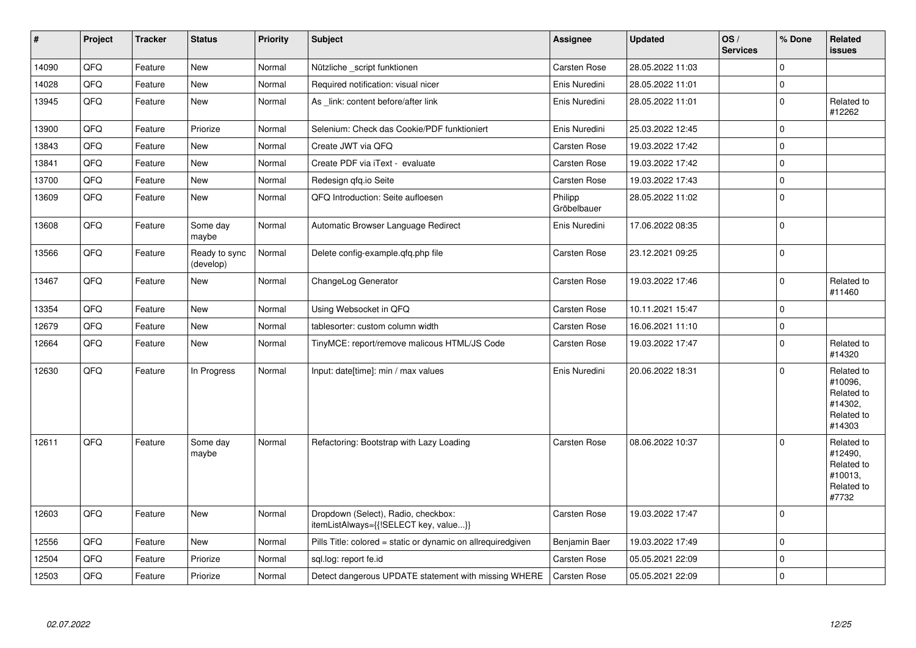| $\vert$ # | Project | <b>Tracker</b> | <b>Status</b>              | Priority | <b>Subject</b>                                                               | <b>Assignee</b>        | <b>Updated</b>   | OS/<br><b>Services</b> | % Done      | <b>Related</b><br><b>issues</b>                                        |
|-----------|---------|----------------|----------------------------|----------|------------------------------------------------------------------------------|------------------------|------------------|------------------------|-------------|------------------------------------------------------------------------|
| 14090     | QFQ     | Feature        | <b>New</b>                 | Normal   | Nützliche _script funktionen                                                 | <b>Carsten Rose</b>    | 28.05.2022 11:03 |                        | $\mathbf 0$ |                                                                        |
| 14028     | QFQ     | Feature        | <b>New</b>                 | Normal   | Required notification: visual nicer                                          | Enis Nuredini          | 28.05.2022 11:01 |                        | $\mathbf 0$ |                                                                        |
| 13945     | QFQ     | Feature        | <b>New</b>                 | Normal   | As link: content before/after link                                           | Enis Nuredini          | 28.05.2022 11:01 |                        | $\mathbf 0$ | Related to<br>#12262                                                   |
| 13900     | QFQ     | Feature        | Priorize                   | Normal   | Selenium: Check das Cookie/PDF funktioniert                                  | Enis Nuredini          | 25.03.2022 12:45 |                        | $\mathbf 0$ |                                                                        |
| 13843     | QFQ     | Feature        | <b>New</b>                 | Normal   | Create JWT via QFQ                                                           | Carsten Rose           | 19.03.2022 17:42 |                        | $\Omega$    |                                                                        |
| 13841     | QFQ     | Feature        | New                        | Normal   | Create PDF via iText - evaluate                                              | <b>Carsten Rose</b>    | 19.03.2022 17:42 |                        | $\pmb{0}$   |                                                                        |
| 13700     | QFQ     | Feature        | New                        | Normal   | Redesign qfq.io Seite                                                        | <b>Carsten Rose</b>    | 19.03.2022 17:43 |                        | $\mathbf 0$ |                                                                        |
| 13609     | QFQ     | Feature        | <b>New</b>                 | Normal   | QFQ Introduction: Seite aufloesen                                            | Philipp<br>Gröbelbauer | 28.05.2022 11:02 |                        | $\mathbf 0$ |                                                                        |
| 13608     | QFQ     | Feature        | Some day<br>maybe          | Normal   | Automatic Browser Language Redirect                                          | Enis Nuredini          | 17.06.2022 08:35 |                        | $\mathbf 0$ |                                                                        |
| 13566     | QFQ     | Feature        | Ready to sync<br>(develop) | Normal   | Delete config-example.qfq.php file                                           | <b>Carsten Rose</b>    | 23.12.2021 09:25 |                        | $\Omega$    |                                                                        |
| 13467     | QFQ     | Feature        | New                        | Normal   | ChangeLog Generator                                                          | <b>Carsten Rose</b>    | 19.03.2022 17:46 |                        | $\mathbf 0$ | Related to<br>#11460                                                   |
| 13354     | QFQ     | Feature        | <b>New</b>                 | Normal   | Using Websocket in QFQ                                                       | <b>Carsten Rose</b>    | 10.11.2021 15:47 |                        | $\mathbf 0$ |                                                                        |
| 12679     | QFQ     | Feature        | <b>New</b>                 | Normal   | tablesorter: custom column width                                             | Carsten Rose           | 16.06.2021 11:10 |                        | $\mathbf 0$ |                                                                        |
| 12664     | QFQ     | Feature        | <b>New</b>                 | Normal   | TinyMCE: report/remove malicous HTML/JS Code                                 | <b>Carsten Rose</b>    | 19.03.2022 17:47 |                        | $\Omega$    | Related to<br>#14320                                                   |
| 12630     | QFQ     | Feature        | In Progress                | Normal   | Input: date[time]: min / max values                                          | Enis Nuredini          | 20.06.2022 18:31 |                        | $\mathbf 0$ | Related to<br>#10096,<br>Related to<br>#14302.<br>Related to<br>#14303 |
| 12611     | QFQ     | Feature        | Some day<br>maybe          | Normal   | Refactoring: Bootstrap with Lazy Loading                                     | <b>Carsten Rose</b>    | 08.06.2022 10:37 |                        | $\mathbf 0$ | Related to<br>#12490,<br>Related to<br>#10013,<br>Related to<br>#7732  |
| 12603     | QFQ     | Feature        | <b>New</b>                 | Normal   | Dropdown (Select), Radio, checkbox:<br>itemListAlways={{!SELECT key, value}} | <b>Carsten Rose</b>    | 19.03.2022 17:47 |                        | $\Omega$    |                                                                        |
| 12556     | QFQ     | Feature        | New                        | Normal   | Pills Title: colored = static or dynamic on allrequiredgiven                 | Benjamin Baer          | 19.03.2022 17:49 |                        | $\mathbf 0$ |                                                                        |
| 12504     | QFQ     | Feature        | Priorize                   | Normal   | sql.log: report fe.id                                                        | Carsten Rose           | 05.05.2021 22:09 |                        | $\mathbf 0$ |                                                                        |
| 12503     | QFQ     | Feature        | Priorize                   | Normal   | Detect dangerous UPDATE statement with missing WHERE                         | Carsten Rose           | 05.05.2021 22:09 |                        | $\mathbf 0$ |                                                                        |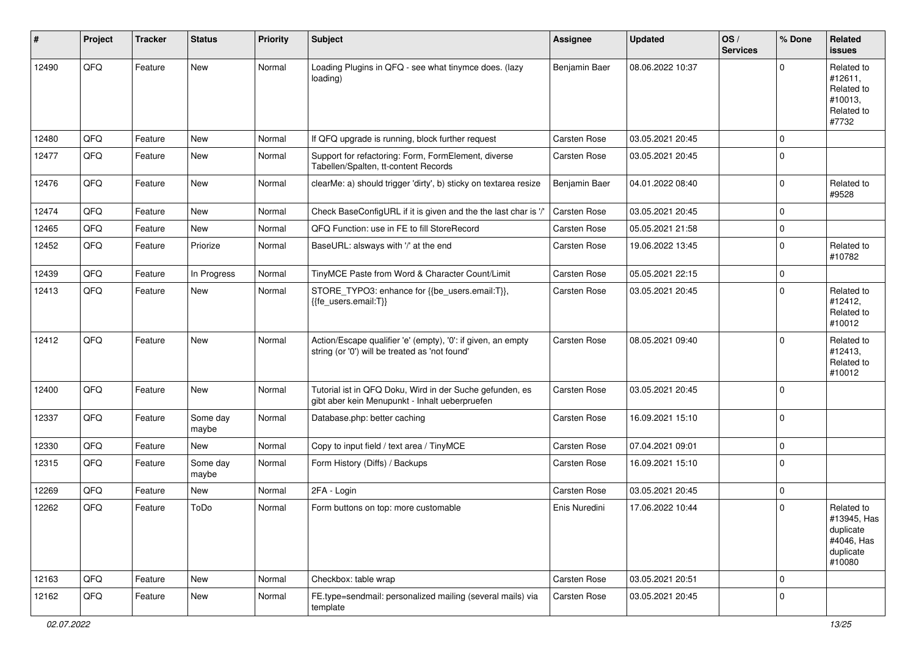| #     | Project | <b>Tracker</b> | <b>Status</b>     | <b>Priority</b> | <b>Subject</b>                                                                                                 | <b>Assignee</b>     | <b>Updated</b>   | OS/<br><b>Services</b> | % Done      | Related<br>issues                                                           |
|-------|---------|----------------|-------------------|-----------------|----------------------------------------------------------------------------------------------------------------|---------------------|------------------|------------------------|-------------|-----------------------------------------------------------------------------|
| 12490 | QFQ     | Feature        | <b>New</b>        | Normal          | Loading Plugins in QFQ - see what tinymce does. (lazy<br>loading)                                              | Benjamin Baer       | 08.06.2022 10:37 |                        | $\Omega$    | Related to<br>#12611,<br>Related to<br>#10013,<br>Related to<br>#7732       |
| 12480 | QFQ     | Feature        | <b>New</b>        | Normal          | If QFQ upgrade is running, block further request                                                               | <b>Carsten Rose</b> | 03.05.2021 20:45 |                        | $\mathbf 0$ |                                                                             |
| 12477 | QFQ     | Feature        | <b>New</b>        | Normal          | Support for refactoring: Form, FormElement, diverse<br>Tabellen/Spalten, tt-content Records                    | <b>Carsten Rose</b> | 03.05.2021 20:45 |                        | $\Omega$    |                                                                             |
| 12476 | QFQ     | Feature        | New               | Normal          | clearMe: a) should trigger 'dirty', b) sticky on textarea resize                                               | Benjamin Baer       | 04.01.2022 08:40 |                        | $\mathbf 0$ | Related to<br>#9528                                                         |
| 12474 | QFQ     | Feature        | <b>New</b>        | Normal          | Check BaseConfigURL if it is given and the the last char is '/'                                                | <b>Carsten Rose</b> | 03.05.2021 20:45 |                        | $\Omega$    |                                                                             |
| 12465 | QFQ     | Feature        | New               | Normal          | QFQ Function: use in FE to fill StoreRecord                                                                    | Carsten Rose        | 05.05.2021 21:58 |                        | $\mathbf 0$ |                                                                             |
| 12452 | QFQ     | Feature        | Priorize          | Normal          | BaseURL: alsways with '/' at the end                                                                           | Carsten Rose        | 19.06.2022 13:45 |                        | $\Omega$    | Related to<br>#10782                                                        |
| 12439 | QFQ     | Feature        | In Progress       | Normal          | TinyMCE Paste from Word & Character Count/Limit                                                                | <b>Carsten Rose</b> | 05.05.2021 22:15 |                        | $\mathbf 0$ |                                                                             |
| 12413 | QFQ     | Feature        | New               | Normal          | STORE_TYPO3: enhance for {{be_users.email:T}},<br>{{fe_users.email:T}}                                         | Carsten Rose        | 03.05.2021 20:45 |                        | $\Omega$    | Related to<br>#12412,<br>Related to<br>#10012                               |
| 12412 | QFQ     | Feature        | <b>New</b>        | Normal          | Action/Escape qualifier 'e' (empty), '0': if given, an empty<br>string (or '0') will be treated as 'not found' | <b>Carsten Rose</b> | 08.05.2021 09:40 |                        | $\Omega$    | Related to<br>#12413,<br>Related to<br>#10012                               |
| 12400 | QFQ     | Feature        | <b>New</b>        | Normal          | Tutorial ist in QFQ Doku, Wird in der Suche gefunden, es<br>gibt aber kein Menupunkt - Inhalt ueberpruefen     | <b>Carsten Rose</b> | 03.05.2021 20:45 |                        | $\mathbf 0$ |                                                                             |
| 12337 | QFQ     | Feature        | Some day<br>maybe | Normal          | Database.php: better caching                                                                                   | Carsten Rose        | 16.09.2021 15:10 |                        | $\mathbf 0$ |                                                                             |
| 12330 | QFQ     | Feature        | <b>New</b>        | Normal          | Copy to input field / text area / TinyMCE                                                                      | <b>Carsten Rose</b> | 07.04.2021 09:01 |                        | $\mathbf 0$ |                                                                             |
| 12315 | QFQ     | Feature        | Some day<br>maybe | Normal          | Form History (Diffs) / Backups                                                                                 | Carsten Rose        | 16.09.2021 15:10 |                        | $\Omega$    |                                                                             |
| 12269 | QFQ     | Feature        | <b>New</b>        | Normal          | 2FA - Login                                                                                                    | Carsten Rose        | 03.05.2021 20:45 |                        | $\mathbf 0$ |                                                                             |
| 12262 | QFQ     | Feature        | ToDo              | Normal          | Form buttons on top: more customable                                                                           | Enis Nuredini       | 17.06.2022 10:44 |                        | $\Omega$    | Related to<br>#13945, Has<br>duplicate<br>#4046, Has<br>duplicate<br>#10080 |
| 12163 | QFQ     | Feature        | <b>New</b>        | Normal          | Checkbox: table wrap                                                                                           | Carsten Rose        | 03.05.2021 20:51 |                        | $\mathbf 0$ |                                                                             |
| 12162 | QFQ     | Feature        | New               | Normal          | FE.type=sendmail: personalized mailing (several mails) via<br>template                                         | Carsten Rose        | 03.05.2021 20:45 |                        | $\Omega$    |                                                                             |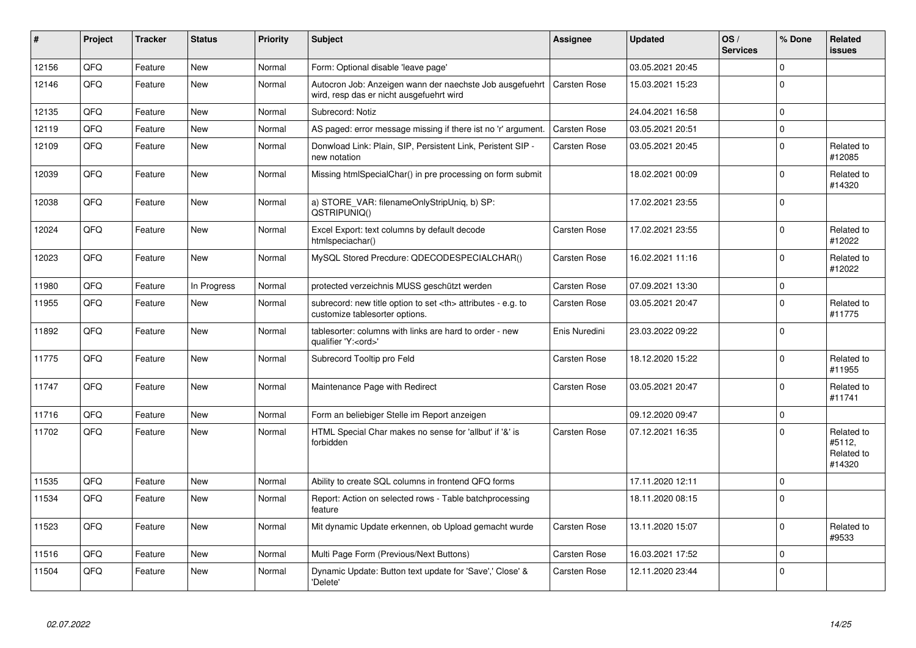| #     | Project | <b>Tracker</b> | <b>Status</b> | <b>Priority</b> | <b>Subject</b>                                                                                       | <b>Assignee</b>                                        | <b>Updated</b>      | OS/<br><b>Services</b> | % Done      | Related<br><b>issues</b>                     |                      |
|-------|---------|----------------|---------------|-----------------|------------------------------------------------------------------------------------------------------|--------------------------------------------------------|---------------------|------------------------|-------------|----------------------------------------------|----------------------|
| 12156 | QFQ     | Feature        | <b>New</b>    | Normal          | Form: Optional disable 'leave page'                                                                  |                                                        | 03.05.2021 20:45    |                        | $\mathbf 0$ |                                              |                      |
| 12146 | QFQ     | Feature        | New           | Normal          | Autocron Job: Anzeigen wann der naechste Job ausgefuehrt<br>wird, resp das er nicht ausgefuehrt wird | <b>Carsten Rose</b>                                    | 15.03.2021 15:23    |                        | $\Omega$    |                                              |                      |
| 12135 | QFQ     | Feature        | <b>New</b>    | Normal          | Subrecord: Notiz                                                                                     |                                                        | 24.04.2021 16:58    |                        | $\Omega$    |                                              |                      |
| 12119 | QFQ     | Feature        | New           | Normal          | AS paged: error message missing if there ist no 'r' argument.                                        | <b>Carsten Rose</b>                                    | 03.05.2021 20:51    |                        | $\pmb{0}$   |                                              |                      |
| 12109 | QFQ     | Feature        | New           | Normal          | Donwload Link: Plain, SIP, Persistent Link, Peristent SIP -<br>new notation                          | <b>Carsten Rose</b>                                    | 03.05.2021 20:45    |                        | $\mathbf 0$ | Related to<br>#12085                         |                      |
| 12039 | QFQ     | Feature        | <b>New</b>    | Normal          | Missing htmlSpecialChar() in pre processing on form submit                                           |                                                        | 18.02.2021 00:09    |                        | $\Omega$    | Related to<br>#14320                         |                      |
| 12038 | QFQ     | Feature        | <b>New</b>    | Normal          | a) STORE VAR: filenameOnlyStripUniq, b) SP:<br>QSTRIPUNIQ()                                          |                                                        | 17.02.2021 23:55    |                        | $\mathbf 0$ |                                              |                      |
| 12024 | QFQ     | Feature        | <b>New</b>    | Normal          | Excel Export: text columns by default decode<br>htmlspeciachar()                                     | <b>Carsten Rose</b>                                    | 17.02.2021 23:55    |                        | $\mathbf 0$ | Related to<br>#12022                         |                      |
| 12023 | QFQ     | Feature        | <b>New</b>    | Normal          | MySQL Stored Precdure: QDECODESPECIALCHAR()                                                          | <b>Carsten Rose</b>                                    | 16.02.2021 11:16    |                        | $\mathbf 0$ | Related to<br>#12022                         |                      |
| 11980 | QFQ     | Feature        | In Progress   | Normal          | protected verzeichnis MUSS geschützt werden                                                          | <b>Carsten Rose</b>                                    | 07.09.2021 13:30    |                        | $\mathbf 0$ |                                              |                      |
| 11955 | QFQ     | Feature        | <b>New</b>    | Normal          | subrecord: new title option to set <th> attributes - e.g. to<br/>customize tablesorter options.</th> | attributes - e.g. to<br>customize tablesorter options. | <b>Carsten Rose</b> | 03.05.2021 20:47       |             | $\Omega$                                     | Related to<br>#11775 |
| 11892 | QFQ     | Feature        | <b>New</b>    | Normal          | tablesorter: columns with links are hard to order - new<br>qualifier 'Y: <ord>'</ord>                | Enis Nuredini                                          | 23.03.2022 09:22    |                        | $\Omega$    |                                              |                      |
| 11775 | QFQ     | Feature        | New           | Normal          | Subrecord Tooltip pro Feld                                                                           | <b>Carsten Rose</b>                                    | 18.12.2020 15:22    |                        | $\Omega$    | Related to<br>#11955                         |                      |
| 11747 | QFQ     | Feature        | <b>New</b>    | Normal          | Maintenance Page with Redirect                                                                       | Carsten Rose                                           | 03.05.2021 20:47    |                        | $\mathbf 0$ | Related to<br>#11741                         |                      |
| 11716 | QFQ     | Feature        | <b>New</b>    | Normal          | Form an beliebiger Stelle im Report anzeigen                                                         |                                                        | 09.12.2020 09:47    |                        | $\Omega$    |                                              |                      |
| 11702 | QFQ     | Feature        | New           | Normal          | HTML Special Char makes no sense for 'allbut' if '&' is<br>forbidden                                 | <b>Carsten Rose</b>                                    | 07.12.2021 16:35    |                        | $\mathbf 0$ | Related to<br>#5112,<br>Related to<br>#14320 |                      |
| 11535 | QFQ     | Feature        | <b>New</b>    | Normal          | Ability to create SQL columns in frontend QFQ forms                                                  |                                                        | 17.11.2020 12:11    |                        | $\mathbf 0$ |                                              |                      |
| 11534 | QFQ     | Feature        | <b>New</b>    | Normal          | Report: Action on selected rows - Table batchprocessing<br>feature                                   |                                                        | 18.11.2020 08:15    |                        | $\Omega$    |                                              |                      |
| 11523 | QFQ     | Feature        | <b>New</b>    | Normal          | Mit dynamic Update erkennen, ob Upload gemacht wurde                                                 | <b>Carsten Rose</b>                                    | 13.11.2020 15:07    |                        | $\Omega$    | Related to<br>#9533                          |                      |
| 11516 | QFQ     | Feature        | <b>New</b>    | Normal          | Multi Page Form (Previous/Next Buttons)                                                              | <b>Carsten Rose</b>                                    | 16.03.2021 17:52    |                        | $\mathbf 0$ |                                              |                      |
| 11504 | QFQ     | Feature        | <b>New</b>    | Normal          | Dynamic Update: Button text update for 'Save',' Close' &<br>'Delete'                                 | <b>Carsten Rose</b>                                    | 12.11.2020 23:44    |                        | $\mathbf 0$ |                                              |                      |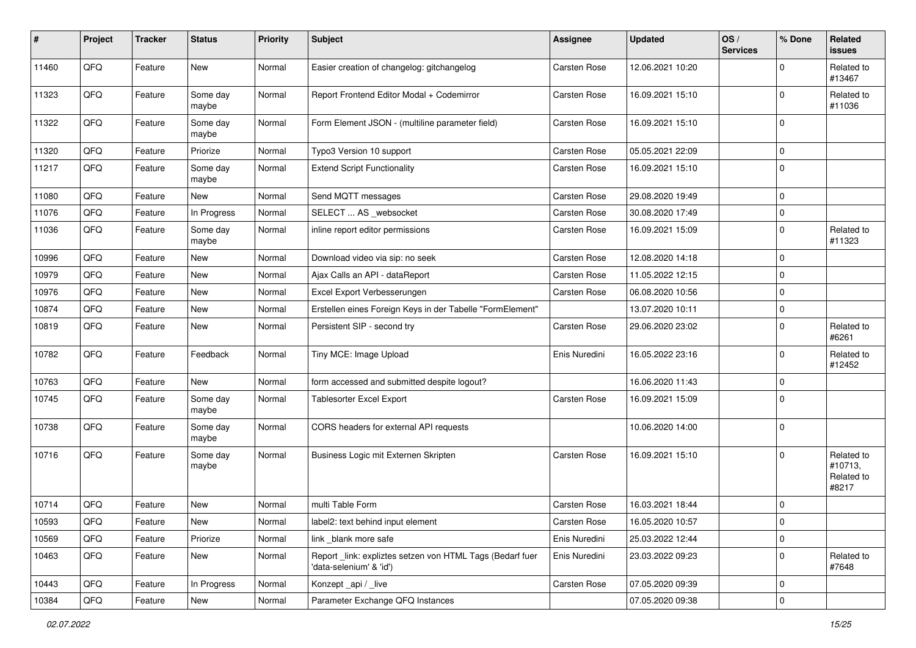| $\vert$ # | Project | <b>Tracker</b> | <b>Status</b>     | Priority | <b>Subject</b>                                                                      | <b>Assignee</b>     | <b>Updated</b>   | OS/<br><b>Services</b> | % Done      | Related<br><b>issues</b>                     |
|-----------|---------|----------------|-------------------|----------|-------------------------------------------------------------------------------------|---------------------|------------------|------------------------|-------------|----------------------------------------------|
| 11460     | QFQ     | Feature        | New               | Normal   | Easier creation of changelog: gitchangelog                                          | Carsten Rose        | 12.06.2021 10:20 |                        | $\mathbf 0$ | Related to<br>#13467                         |
| 11323     | QFQ     | Feature        | Some day<br>maybe | Normal   | Report Frontend Editor Modal + Codemirror                                           | Carsten Rose        | 16.09.2021 15:10 |                        | 0           | Related to<br>#11036                         |
| 11322     | QFQ     | Feature        | Some day<br>maybe | Normal   | Form Element JSON - (multiline parameter field)                                     | <b>Carsten Rose</b> | 16.09.2021 15:10 |                        | $\mathbf 0$ |                                              |
| 11320     | QFQ     | Feature        | Priorize          | Normal   | Typo3 Version 10 support                                                            | Carsten Rose        | 05.05.2021 22:09 |                        | $\mathbf 0$ |                                              |
| 11217     | QFQ     | Feature        | Some day<br>maybe | Normal   | <b>Extend Script Functionality</b>                                                  | Carsten Rose        | 16.09.2021 15:10 |                        | $\mathbf 0$ |                                              |
| 11080     | QFQ     | Feature        | New               | Normal   | Send MQTT messages                                                                  | Carsten Rose        | 29.08.2020 19:49 |                        | $\mathbf 0$ |                                              |
| 11076     | QFQ     | Feature        | In Progress       | Normal   | SELECT  AS _websocket                                                               | Carsten Rose        | 30.08.2020 17:49 |                        | $\mathbf 0$ |                                              |
| 11036     | QFQ     | Feature        | Some day<br>maybe | Normal   | inline report editor permissions                                                    | Carsten Rose        | 16.09.2021 15:09 |                        | $\mathbf 0$ | Related to<br>#11323                         |
| 10996     | QFQ     | Feature        | <b>New</b>        | Normal   | Download video via sip: no seek                                                     | Carsten Rose        | 12.08.2020 14:18 |                        | $\mathbf 0$ |                                              |
| 10979     | QFQ     | Feature        | New               | Normal   | Ajax Calls an API - dataReport                                                      | Carsten Rose        | 11.05.2022 12:15 |                        | $\mathbf 0$ |                                              |
| 10976     | QFQ     | Feature        | New               | Normal   | Excel Export Verbesserungen                                                         | Carsten Rose        | 06.08.2020 10:56 |                        | $\mathbf 0$ |                                              |
| 10874     | QFQ     | Feature        | <b>New</b>        | Normal   | Erstellen eines Foreign Keys in der Tabelle "FormElement"                           |                     | 13.07.2020 10:11 |                        | 0           |                                              |
| 10819     | QFQ     | Feature        | New               | Normal   | Persistent SIP - second try                                                         | Carsten Rose        | 29.06.2020 23:02 |                        | $\mathbf 0$ | Related to<br>#6261                          |
| 10782     | QFQ     | Feature        | Feedback          | Normal   | Tiny MCE: Image Upload                                                              | Enis Nuredini       | 16.05.2022 23:16 |                        | $\mathbf 0$ | Related to<br>#12452                         |
| 10763     | QFQ     | Feature        | New               | Normal   | form accessed and submitted despite logout?                                         |                     | 16.06.2020 11:43 |                        | $\mathbf 0$ |                                              |
| 10745     | QFQ     | Feature        | Some day<br>maybe | Normal   | Tablesorter Excel Export                                                            | <b>Carsten Rose</b> | 16.09.2021 15:09 |                        | $\mathbf 0$ |                                              |
| 10738     | QFQ     | Feature        | Some day<br>maybe | Normal   | CORS headers for external API requests                                              |                     | 10.06.2020 14:00 |                        | $\mathbf 0$ |                                              |
| 10716     | QFQ     | Feature        | Some day<br>maybe | Normal   | Business Logic mit Externen Skripten                                                | <b>Carsten Rose</b> | 16.09.2021 15:10 |                        | $\mathbf 0$ | Related to<br>#10713,<br>Related to<br>#8217 |
| 10714     | QFQ     | Feature        | <b>New</b>        | Normal   | multi Table Form                                                                    | <b>Carsten Rose</b> | 16.03.2021 18:44 |                        | $\mathbf 0$ |                                              |
| 10593     | QFQ     | Feature        | New               | Normal   | label2: text behind input element                                                   | Carsten Rose        | 16.05.2020 10:57 |                        | 0           |                                              |
| 10569     | QFQ     | Feature        | Priorize          | Normal   | link blank more safe                                                                | Enis Nuredini       | 25.03.2022 12:44 |                        | $\pmb{0}$   |                                              |
| 10463     | QFQ     | Feature        | New               | Normal   | Report_link: expliztes setzen von HTML Tags (Bedarf fuer<br>'data-selenium' & 'id') | Enis Nuredini       | 23.03.2022 09:23 |                        | $\mathbf 0$ | Related to<br>#7648                          |
| 10443     | QFO     | Feature        | In Progress       | Normal   | Konzept_api / _live                                                                 | <b>Carsten Rose</b> | 07.05.2020 09:39 |                        | $\mathbf 0$ |                                              |
| 10384     | QFQ     | Feature        | New               | Normal   | Parameter Exchange QFQ Instances                                                    |                     | 07.05.2020 09:38 |                        | $\pmb{0}$   |                                              |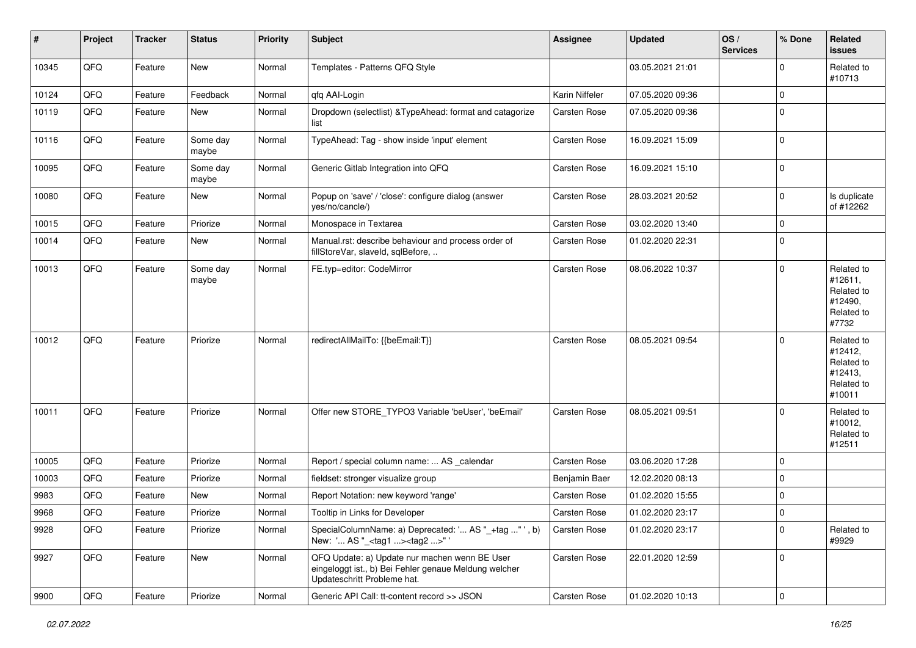| #     | Project        | <b>Tracker</b> | <b>Status</b>     | <b>Priority</b> | <b>Subject</b>                                                                                                                        | <b>Assignee</b>     | <b>Updated</b>   | OS/<br><b>Services</b> | % Done      | Related<br><b>issues</b>                                               |
|-------|----------------|----------------|-------------------|-----------------|---------------------------------------------------------------------------------------------------------------------------------------|---------------------|------------------|------------------------|-------------|------------------------------------------------------------------------|
| 10345 | QFQ            | Feature        | New               | Normal          | Templates - Patterns QFQ Style                                                                                                        |                     | 03.05.2021 21:01 |                        | $\mathbf 0$ | Related to<br>#10713                                                   |
| 10124 | QFQ            | Feature        | Feedback          | Normal          | qfq AAI-Login                                                                                                                         | Karin Niffeler      | 07.05.2020 09:36 |                        | $\mathbf 0$ |                                                                        |
| 10119 | QFQ            | Feature        | New               | Normal          | Dropdown (selectlist) & TypeAhead: format and catagorize<br>list                                                                      | Carsten Rose        | 07.05.2020 09:36 |                        | 0           |                                                                        |
| 10116 | QFQ            | Feature        | Some day<br>maybe | Normal          | TypeAhead: Tag - show inside 'input' element                                                                                          | Carsten Rose        | 16.09.2021 15:09 |                        | $\mathbf 0$ |                                                                        |
| 10095 | QFQ            | Feature        | Some day<br>maybe | Normal          | Generic Gitlab Integration into QFQ                                                                                                   | Carsten Rose        | 16.09.2021 15:10 |                        | $\mathbf 0$ |                                                                        |
| 10080 | QFQ            | Feature        | <b>New</b>        | Normal          | Popup on 'save' / 'close': configure dialog (answer<br>yes/no/cancle/)                                                                | <b>Carsten Rose</b> | 28.03.2021 20:52 |                        | $\mathbf 0$ | Is duplicate<br>of #12262                                              |
| 10015 | QFQ            | Feature        | Priorize          | Normal          | Monospace in Textarea                                                                                                                 | <b>Carsten Rose</b> | 03.02.2020 13:40 |                        | $\mathbf 0$ |                                                                        |
| 10014 | QFQ            | Feature        | New               | Normal          | Manual.rst: describe behaviour and process order of<br>fillStoreVar, slaveId, sqlBefore,                                              | Carsten Rose        | 01.02.2020 22:31 |                        | $\mathbf 0$ |                                                                        |
| 10013 | QFQ            | Feature        | Some day<br>maybe | Normal          | FE.typ=editor: CodeMirror                                                                                                             | Carsten Rose        | 08.06.2022 10:37 |                        | $\mathbf 0$ | Related to<br>#12611,<br>Related to<br>#12490,<br>Related to<br>#7732  |
| 10012 | QFQ            | Feature        | Priorize          | Normal          | redirectAllMailTo: {{beEmail:T}}                                                                                                      | <b>Carsten Rose</b> | 08.05.2021 09:54 |                        | $\mathbf 0$ | Related to<br>#12412,<br>Related to<br>#12413,<br>Related to<br>#10011 |
| 10011 | QFQ            | Feature        | Priorize          | Normal          | Offer new STORE_TYPO3 Variable 'beUser', 'beEmail'                                                                                    | <b>Carsten Rose</b> | 08.05.2021 09:51 |                        | $\mathbf 0$ | Related to<br>#10012,<br>Related to<br>#12511                          |
| 10005 | QFQ            | Feature        | Priorize          | Normal          | Report / special column name:  AS _calendar                                                                                           | Carsten Rose        | 03.06.2020 17:28 |                        | $\mathbf 0$ |                                                                        |
| 10003 | QFQ            | Feature        | Priorize          | Normal          | fieldset: stronger visualize group                                                                                                    | Benjamin Baer       | 12.02.2020 08:13 |                        | $\mathbf 0$ |                                                                        |
| 9983  | QFQ            | Feature        | New               | Normal          | Report Notation: new keyword 'range'                                                                                                  | <b>Carsten Rose</b> | 01.02.2020 15:55 |                        | $\mathbf 0$ |                                                                        |
| 9968  | QFQ            | Feature        | Priorize          | Normal          | Tooltip in Links for Developer                                                                                                        | <b>Carsten Rose</b> | 01.02.2020 23:17 |                        | $\mathbf 0$ |                                                                        |
| 9928  | QFO            | Feature        | Priorize          | Normal          | SpecialColumnName: a) Deprecated: ' AS "_+tag " ', b)<br>New: ' AS "_ <tag1><tag2>"'</tag2></tag1>                                    | Carsten Rose        | 01.02.2020 23:17 |                        | $\pmb{0}$   | Related to<br>#9929                                                    |
| 9927  | QFO            | Feature        | New               | Normal          | QFQ Update: a) Update nur machen wenn BE User<br>eingeloggt ist., b) Bei Fehler genaue Meldung welcher<br>Updateschritt Probleme hat. | Carsten Rose        | 22.01.2020 12:59 |                        | $\mathbf 0$ |                                                                        |
| 9900  | $\mathsf{QFQ}$ | Feature        | Priorize          | Normal          | Generic API Call: tt-content record >> JSON                                                                                           | Carsten Rose        | 01.02.2020 10:13 |                        | $\mathbf 0$ |                                                                        |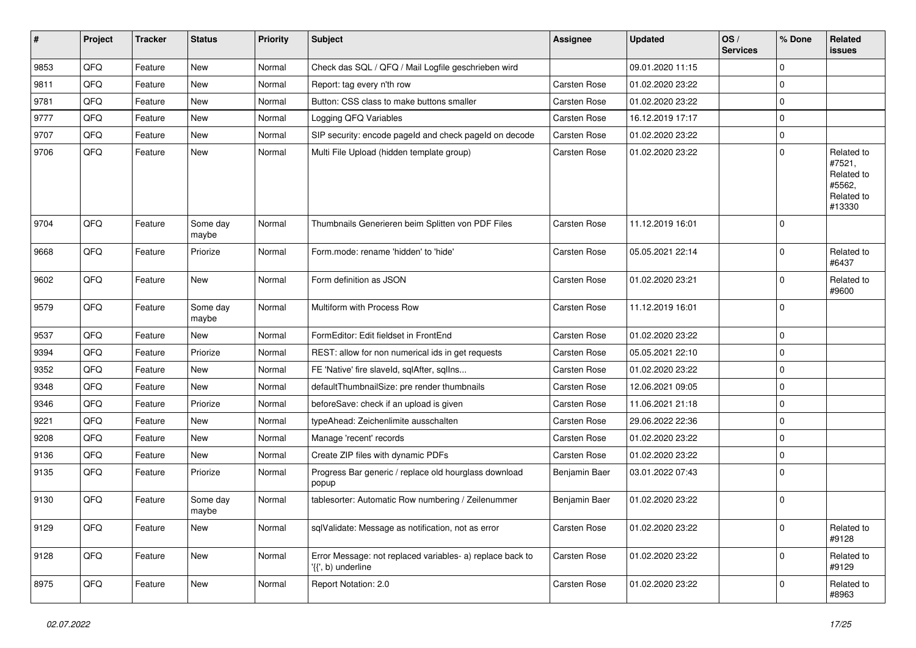| #    | Project | <b>Tracker</b> | <b>Status</b>     | <b>Priority</b> | <b>Subject</b>                                                                  | <b>Assignee</b>     | <b>Updated</b>   | OS/<br><b>Services</b> | % Done      | Related<br><b>issues</b>                                             |
|------|---------|----------------|-------------------|-----------------|---------------------------------------------------------------------------------|---------------------|------------------|------------------------|-------------|----------------------------------------------------------------------|
| 9853 | QFQ     | Feature        | <b>New</b>        | Normal          | Check das SQL / QFQ / Mail Logfile geschrieben wird                             |                     | 09.01.2020 11:15 |                        | $\Omega$    |                                                                      |
| 9811 | QFQ     | Feature        | New               | Normal          | Report: tag every n'th row                                                      | <b>Carsten Rose</b> | 01.02.2020 23:22 |                        | $\mathbf 0$ |                                                                      |
| 9781 | QFQ     | Feature        | New               | Normal          | Button: CSS class to make buttons smaller                                       | Carsten Rose        | 01.02.2020 23:22 |                        | $\Omega$    |                                                                      |
| 9777 | QFQ     | Feature        | <b>New</b>        | Normal          | Logging QFQ Variables                                                           | <b>Carsten Rose</b> | 16.12.2019 17:17 |                        | $\mathbf 0$ |                                                                      |
| 9707 | QFQ     | Feature        | New               | Normal          | SIP security: encode pageld and check pageld on decode                          | <b>Carsten Rose</b> | 01.02.2020 23:22 |                        | $\mathbf 0$ |                                                                      |
| 9706 | QFQ     | Feature        | New               | Normal          | Multi File Upload (hidden template group)                                       | <b>Carsten Rose</b> | 01.02.2020 23:22 |                        | $\Omega$    | Related to<br>#7521,<br>Related to<br>#5562,<br>Related to<br>#13330 |
| 9704 | QFQ     | Feature        | Some day<br>maybe | Normal          | Thumbnails Generieren beim Splitten von PDF Files                               | <b>Carsten Rose</b> | 11.12.2019 16:01 |                        | $\Omega$    |                                                                      |
| 9668 | QFQ     | Feature        | Priorize          | Normal          | Form.mode: rename 'hidden' to 'hide'                                            | <b>Carsten Rose</b> | 05.05.2021 22:14 |                        | $\Omega$    | Related to<br>#6437                                                  |
| 9602 | QFQ     | Feature        | <b>New</b>        | Normal          | Form definition as JSON                                                         | Carsten Rose        | 01.02.2020 23:21 |                        | $\Omega$    | Related to<br>#9600                                                  |
| 9579 | QFQ     | Feature        | Some day<br>maybe | Normal          | Multiform with Process Row                                                      | Carsten Rose        | 11.12.2019 16:01 |                        | $\Omega$    |                                                                      |
| 9537 | QFQ     | Feature        | <b>New</b>        | Normal          | FormEditor: Edit fieldset in FrontEnd                                           | Carsten Rose        | 01.02.2020 23:22 |                        | $\Omega$    |                                                                      |
| 9394 | QFQ     | Feature        | Priorize          | Normal          | REST: allow for non numerical ids in get requests                               | <b>Carsten Rose</b> | 05.05.2021 22:10 |                        | $\mathbf 0$ |                                                                      |
| 9352 | QFQ     | Feature        | New               | Normal          | FE 'Native' fire slaveld, sqlAfter, sqlIns                                      | <b>Carsten Rose</b> | 01.02.2020 23:22 |                        | $\Omega$    |                                                                      |
| 9348 | QFQ     | Feature        | <b>New</b>        | Normal          | defaultThumbnailSize: pre render thumbnails                                     | <b>Carsten Rose</b> | 12.06.2021 09:05 |                        | $\Omega$    |                                                                      |
| 9346 | QFQ     | Feature        | Priorize          | Normal          | beforeSave: check if an upload is given                                         | <b>Carsten Rose</b> | 11.06.2021 21:18 |                        | $\mathbf 0$ |                                                                      |
| 9221 | QFQ     | Feature        | New               | Normal          | typeAhead: Zeichenlimite ausschalten                                            | <b>Carsten Rose</b> | 29.06.2022 22:36 |                        | $\Omega$    |                                                                      |
| 9208 | QFQ     | Feature        | <b>New</b>        | Normal          | Manage 'recent' records                                                         | <b>Carsten Rose</b> | 01.02.2020 23:22 |                        | $\mathbf 0$ |                                                                      |
| 9136 | QFQ     | Feature        | New               | Normal          | Create ZIP files with dynamic PDFs                                              | Carsten Rose        | 01.02.2020 23:22 |                        | $\Omega$    |                                                                      |
| 9135 | QFQ     | Feature        | Priorize          | Normal          | Progress Bar generic / replace old hourglass download<br>popup                  | Benjamin Baer       | 03.01.2022 07:43 |                        | $\Omega$    |                                                                      |
| 9130 | QFQ     | Feature        | Some day<br>maybe | Normal          | tablesorter: Automatic Row numbering / Zeilenummer                              | Benjamin Baer       | 01.02.2020 23:22 |                        | $\Omega$    |                                                                      |
| 9129 | QFQ     | Feature        | New               | Normal          | sqlValidate: Message as notification, not as error                              | Carsten Rose        | 01.02.2020 23:22 |                        | $\mathbf 0$ | Related to<br>#9128                                                  |
| 9128 | QFO     | Feature        | New               | Normal          | Error Message: not replaced variables- a) replace back to<br>'{{', b) underline | Carsten Rose        | 01.02.2020 23:22 |                        | $\mathbf 0$ | Related to<br>#9129                                                  |
| 8975 | QFQ     | Feature        | New               | Normal          | Report Notation: 2.0                                                            | Carsten Rose        | 01.02.2020 23:22 |                        | $\mathbf 0$ | Related to<br>#8963                                                  |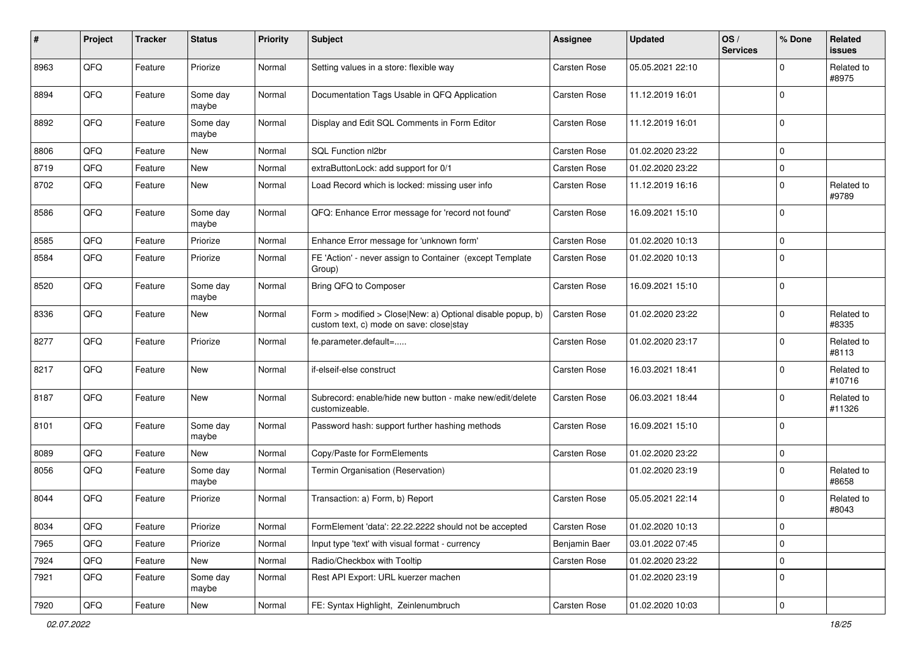| #    | Project | <b>Tracker</b> | <b>Status</b>     | <b>Priority</b> | <b>Subject</b>                                                                                         | Assignee            | <b>Updated</b>   | OS/<br><b>Services</b> | % Done      | <b>Related</b><br><b>issues</b> |
|------|---------|----------------|-------------------|-----------------|--------------------------------------------------------------------------------------------------------|---------------------|------------------|------------------------|-------------|---------------------------------|
| 8963 | QFQ     | Feature        | Priorize          | Normal          | Setting values in a store: flexible way                                                                | Carsten Rose        | 05.05.2021 22:10 |                        | $\Omega$    | Related to<br>#8975             |
| 8894 | QFQ     | Feature        | Some day<br>maybe | Normal          | Documentation Tags Usable in QFQ Application                                                           | <b>Carsten Rose</b> | 11.12.2019 16:01 |                        | $\mathbf 0$ |                                 |
| 8892 | QFQ     | Feature        | Some day<br>maybe | Normal          | Display and Edit SQL Comments in Form Editor                                                           | Carsten Rose        | 11.12.2019 16:01 |                        | $\mathbf 0$ |                                 |
| 8806 | QFQ     | Feature        | <b>New</b>        | Normal          | SQL Function nl2br                                                                                     | Carsten Rose        | 01.02.2020 23:22 |                        | $\mathbf 0$ |                                 |
| 8719 | QFQ     | Feature        | New               | Normal          | extraButtonLock: add support for 0/1                                                                   | Carsten Rose        | 01.02.2020 23:22 |                        | $\mathbf 0$ |                                 |
| 8702 | QFQ     | Feature        | New               | Normal          | Load Record which is locked: missing user info                                                         | <b>Carsten Rose</b> | 11.12.2019 16:16 |                        | $\mathbf 0$ | Related to<br>#9789             |
| 8586 | QFQ     | Feature        | Some day<br>maybe | Normal          | QFQ: Enhance Error message for 'record not found'                                                      | Carsten Rose        | 16.09.2021 15:10 |                        | $\mathbf 0$ |                                 |
| 8585 | QFQ     | Feature        | Priorize          | Normal          | Enhance Error message for 'unknown form'                                                               | Carsten Rose        | 01.02.2020 10:13 |                        | $\mathbf 0$ |                                 |
| 8584 | QFQ     | Feature        | Priorize          | Normal          | FE 'Action' - never assign to Container (except Template<br>Group)                                     | Carsten Rose        | 01.02.2020 10:13 |                        | $\mathbf 0$ |                                 |
| 8520 | QFQ     | Feature        | Some day<br>maybe | Normal          | Bring QFQ to Composer                                                                                  | Carsten Rose        | 16.09.2021 15:10 |                        | $\mathbf 0$ |                                 |
| 8336 | QFQ     | Feature        | New               | Normal          | Form > modified > Close New: a) Optional disable popup, b)<br>custom text, c) mode on save: close stay | Carsten Rose        | 01.02.2020 23:22 |                        | $\mathbf 0$ | Related to<br>#8335             |
| 8277 | QFQ     | Feature        | Priorize          | Normal          | fe.parameter.default=                                                                                  | Carsten Rose        | 01.02.2020 23:17 |                        | $\mathbf 0$ | Related to<br>#8113             |
| 8217 | QFQ     | Feature        | New               | Normal          | if-elseif-else construct                                                                               | <b>Carsten Rose</b> | 16.03.2021 18:41 |                        | $\Omega$    | Related to<br>#10716            |
| 8187 | QFQ     | Feature        | <b>New</b>        | Normal          | Subrecord: enable/hide new button - make new/edit/delete<br>customizeable.                             | Carsten Rose        | 06.03.2021 18:44 |                        | $\mathbf 0$ | Related to<br>#11326            |
| 8101 | QFQ     | Feature        | Some day<br>maybe | Normal          | Password hash: support further hashing methods                                                         | Carsten Rose        | 16.09.2021 15:10 |                        | $\Omega$    |                                 |
| 8089 | QFQ     | Feature        | <b>New</b>        | Normal          | Copy/Paste for FormElements                                                                            | Carsten Rose        | 01.02.2020 23:22 |                        | $\mathbf 0$ |                                 |
| 8056 | QFQ     | Feature        | Some day<br>maybe | Normal          | Termin Organisation (Reservation)                                                                      |                     | 01.02.2020 23:19 |                        | $\mathbf 0$ | Related to<br>#8658             |
| 8044 | QFQ     | Feature        | Priorize          | Normal          | Transaction: a) Form, b) Report                                                                        | <b>Carsten Rose</b> | 05.05.2021 22:14 |                        | $\mathbf 0$ | Related to<br>#8043             |
| 8034 | QFQ     | Feature        | Priorize          | Normal          | FormElement 'data': 22.22.2222 should not be accepted                                                  | Carsten Rose        | 01.02.2020 10:13 |                        | $\mathbf 0$ |                                 |
| 7965 | QFQ     | Feature        | Priorize          | Normal          | Input type 'text' with visual format - currency                                                        | Benjamin Baer       | 03.01.2022 07:45 |                        | $\mathbf 0$ |                                 |
| 7924 | QFQ     | Feature        | New               | Normal          | Radio/Checkbox with Tooltip                                                                            | <b>Carsten Rose</b> | 01.02.2020 23:22 |                        | $\mathbf 0$ |                                 |
| 7921 | QFQ     | Feature        | Some day<br>maybe | Normal          | Rest API Export: URL kuerzer machen                                                                    |                     | 01.02.2020 23:19 |                        | $\mathbf 0$ |                                 |
| 7920 | QFG     | Feature        | New               | Normal          | FE: Syntax Highlight, Zeinlenumbruch                                                                   | Carsten Rose        | 01.02.2020 10:03 |                        | $\mathbf 0$ |                                 |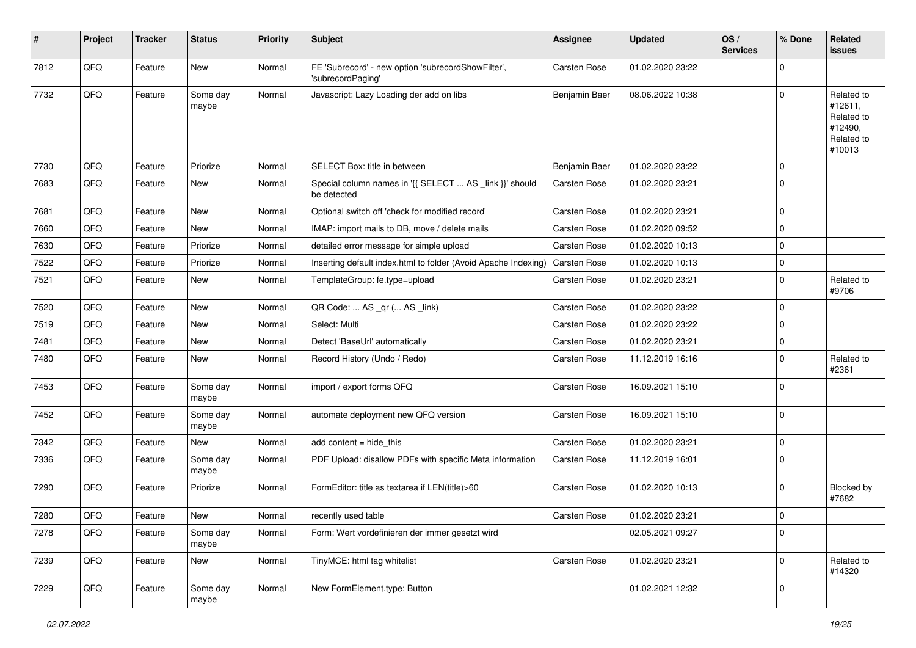| #    | Project | <b>Tracker</b> | <b>Status</b>     | <b>Priority</b> | <b>Subject</b>                                                          | <b>Assignee</b>     | <b>Updated</b>   | OS/<br><b>Services</b> | % Done         | Related<br>issues                                                      |
|------|---------|----------------|-------------------|-----------------|-------------------------------------------------------------------------|---------------------|------------------|------------------------|----------------|------------------------------------------------------------------------|
| 7812 | QFQ     | Feature        | New               | Normal          | FE 'Subrecord' - new option 'subrecordShowFilter',<br>'subrecordPaging' | Carsten Rose        | 01.02.2020 23:22 |                        | $\mathbf 0$    |                                                                        |
| 7732 | QFQ     | Feature        | Some day<br>maybe | Normal          | Javascript: Lazy Loading der add on libs                                | Benjamin Baer       | 08.06.2022 10:38 |                        | $\mathbf 0$    | Related to<br>#12611,<br>Related to<br>#12490,<br>Related to<br>#10013 |
| 7730 | QFQ     | Feature        | Priorize          | Normal          | SELECT Box: title in between                                            | Benjamin Baer       | 01.02.2020 23:22 |                        | $\mathbf 0$    |                                                                        |
| 7683 | QFQ     | Feature        | New               | Normal          | Special column names in '{{ SELECT  AS _link }}' should<br>be detected  | Carsten Rose        | 01.02.2020 23:21 |                        | $\overline{0}$ |                                                                        |
| 7681 | QFQ     | Feature        | <b>New</b>        | Normal          | Optional switch off 'check for modified record'                         | Carsten Rose        | 01.02.2020 23:21 |                        | $\overline{0}$ |                                                                        |
| 7660 | QFQ     | Feature        | New               | Normal          | IMAP: import mails to DB, move / delete mails                           | Carsten Rose        | 01.02.2020 09:52 |                        | $\mathbf 0$    |                                                                        |
| 7630 | QFQ     | Feature        | Priorize          | Normal          | detailed error message for simple upload                                | Carsten Rose        | 01.02.2020 10:13 |                        | $\overline{0}$ |                                                                        |
| 7522 | QFQ     | Feature        | Priorize          | Normal          | Inserting default index.html to folder (Avoid Apache Indexing)          | Carsten Rose        | 01.02.2020 10:13 |                        | $\mathbf 0$    |                                                                        |
| 7521 | QFQ     | Feature        | New               | Normal          | TemplateGroup: fe.type=upload                                           | Carsten Rose        | 01.02.2020 23:21 |                        | $\mathbf 0$    | Related to<br>#9706                                                    |
| 7520 | QFQ     | Feature        | New               | Normal          | QR Code:  AS _qr ( AS _link)                                            | Carsten Rose        | 01.02.2020 23:22 |                        | $\overline{0}$ |                                                                        |
| 7519 | QFQ     | Feature        | <b>New</b>        | Normal          | Select: Multi                                                           | Carsten Rose        | 01.02.2020 23:22 |                        | $\mathbf 0$    |                                                                        |
| 7481 | QFQ     | Feature        | <b>New</b>        | Normal          | Detect 'BaseUrl' automatically                                          | Carsten Rose        | 01.02.2020 23:21 |                        | $\mathbf 0$    |                                                                        |
| 7480 | QFQ     | Feature        | New               | Normal          | Record History (Undo / Redo)                                            | Carsten Rose        | 11.12.2019 16:16 |                        | $\mathbf 0$    | Related to<br>#2361                                                    |
| 7453 | QFQ     | Feature        | Some day<br>maybe | Normal          | import / export forms QFQ                                               | Carsten Rose        | 16.09.2021 15:10 |                        | $\overline{0}$ |                                                                        |
| 7452 | QFQ     | Feature        | Some day<br>maybe | Normal          | automate deployment new QFQ version                                     | <b>Carsten Rose</b> | 16.09.2021 15:10 |                        | $\mathbf 0$    |                                                                        |
| 7342 | QFQ     | Feature        | New               | Normal          | add content = hide_this                                                 | Carsten Rose        | 01.02.2020 23:21 |                        | $\mathbf 0$    |                                                                        |
| 7336 | QFQ     | Feature        | Some day<br>maybe | Normal          | PDF Upload: disallow PDFs with specific Meta information                | Carsten Rose        | 11.12.2019 16:01 |                        | $\overline{0}$ |                                                                        |
| 7290 | QFQ     | Feature        | Priorize          | Normal          | FormEditor: title as textarea if LEN(title)>60                          | Carsten Rose        | 01.02.2020 10:13 |                        | $\mathbf 0$    | Blocked by<br>#7682                                                    |
| 7280 | QFQ     | Feature        | New               | Normal          | recently used table                                                     | Carsten Rose        | 01.02.2020 23:21 |                        | $\overline{0}$ |                                                                        |
| 7278 | QFQ     | Feature        | Some day<br>maybe | Normal          | Form: Wert vordefinieren der immer gesetzt wird                         |                     | 02.05.2021 09:27 |                        | $\overline{0}$ |                                                                        |
| 7239 | QFQ     | Feature        | New               | Normal          | TinyMCE: html tag whitelist                                             | Carsten Rose        | 01.02.2020 23:21 |                        | 0              | Related to<br>#14320                                                   |
| 7229 | QFQ     | Feature        | Some day<br>maybe | Normal          | New FormElement.type: Button                                            |                     | 01.02.2021 12:32 |                        | $\overline{0}$ |                                                                        |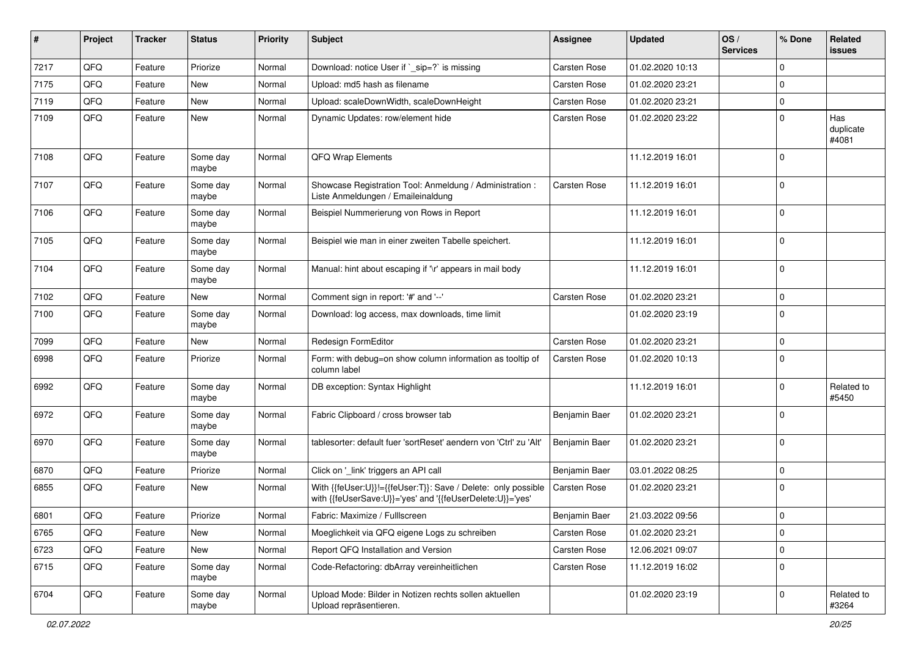| ∦    | Project | <b>Tracker</b> | <b>Status</b>     | <b>Priority</b> | <b>Subject</b>                                                                                                             | Assignee            | <b>Updated</b>   | OS/<br><b>Services</b> | % Done       | <b>Related</b><br>issues  |
|------|---------|----------------|-------------------|-----------------|----------------------------------------------------------------------------------------------------------------------------|---------------------|------------------|------------------------|--------------|---------------------------|
| 7217 | QFQ     | Feature        | Priorize          | Normal          | Download: notice User if `_sip=?` is missing                                                                               | <b>Carsten Rose</b> | 01.02.2020 10:13 |                        | $\mathbf{0}$ |                           |
| 7175 | QFQ     | Feature        | <b>New</b>        | Normal          | Upload: md5 hash as filename                                                                                               | <b>Carsten Rose</b> | 01.02.2020 23:21 |                        | $\mathbf 0$  |                           |
| 7119 | QFQ     | Feature        | New               | Normal          | Upload: scaleDownWidth, scaleDownHeight                                                                                    | Carsten Rose        | 01.02.2020 23:21 |                        | $\mathbf 0$  |                           |
| 7109 | QFQ     | Feature        | New               | Normal          | Dynamic Updates: row/element hide                                                                                          | <b>Carsten Rose</b> | 01.02.2020 23:22 |                        | $\mathbf 0$  | Has<br>duplicate<br>#4081 |
| 7108 | QFQ     | Feature        | Some day<br>maybe | Normal          | QFQ Wrap Elements                                                                                                          |                     | 11.12.2019 16:01 |                        | $\mathbf 0$  |                           |
| 7107 | QFQ     | Feature        | Some day<br>maybe | Normal          | Showcase Registration Tool: Anmeldung / Administration :<br>Liste Anmeldungen / Emaileinaldung                             | <b>Carsten Rose</b> | 11.12.2019 16:01 |                        | $\mathbf 0$  |                           |
| 7106 | QFQ     | Feature        | Some day<br>maybe | Normal          | Beispiel Nummerierung von Rows in Report                                                                                   |                     | 11.12.2019 16:01 |                        | $\mathbf 0$  |                           |
| 7105 | QFQ     | Feature        | Some day<br>maybe | Normal          | Beispiel wie man in einer zweiten Tabelle speichert.                                                                       |                     | 11.12.2019 16:01 |                        | $\mathbf 0$  |                           |
| 7104 | QFQ     | Feature        | Some day<br>maybe | Normal          | Manual: hint about escaping if '\r' appears in mail body                                                                   |                     | 11.12.2019 16:01 |                        | $\mathbf 0$  |                           |
| 7102 | QFQ     | Feature        | <b>New</b>        | Normal          | Comment sign in report: '#' and '--'                                                                                       | Carsten Rose        | 01.02.2020 23:21 |                        | $\mathbf 0$  |                           |
| 7100 | QFQ     | Feature        | Some day<br>maybe | Normal          | Download: log access, max downloads, time limit                                                                            |                     | 01.02.2020 23:19 |                        | $\mathbf 0$  |                           |
| 7099 | QFQ     | Feature        | <b>New</b>        | Normal          | Redesign FormEditor                                                                                                        | <b>Carsten Rose</b> | 01.02.2020 23:21 |                        | $\mathbf 0$  |                           |
| 6998 | QFQ     | Feature        | Priorize          | Normal          | Form: with debug=on show column information as tooltip of<br>column label                                                  | Carsten Rose        | 01.02.2020 10:13 |                        | $\mathbf 0$  |                           |
| 6992 | QFQ     | Feature        | Some day<br>maybe | Normal          | DB exception: Syntax Highlight                                                                                             |                     | 11.12.2019 16:01 |                        | $\mathbf 0$  | Related to<br>#5450       |
| 6972 | QFQ     | Feature        | Some day<br>maybe | Normal          | Fabric Clipboard / cross browser tab                                                                                       | Benjamin Baer       | 01.02.2020 23:21 |                        | $\mathbf 0$  |                           |
| 6970 | QFQ     | Feature        | Some day<br>maybe | Normal          | tablesorter: default fuer 'sortReset' aendern von 'Ctrl' zu 'Alt'                                                          | Benjamin Baer       | 01.02.2020 23:21 |                        | $\mathbf 0$  |                           |
| 6870 | QFQ     | Feature        | Priorize          | Normal          | Click on ' link' triggers an API call                                                                                      | Benjamin Baer       | 03.01.2022 08:25 |                        | $\mathbf 0$  |                           |
| 6855 | QFQ     | Feature        | <b>New</b>        | Normal          | With {{feUser:U}}!={{feUser:T}}: Save / Delete: only possible<br>with {{feUserSave:U}}='yes' and '{{feUserDelete:U}}='yes' | Carsten Rose        | 01.02.2020 23:21 |                        | $\mathbf 0$  |                           |
| 6801 | QFQ     | Feature        | Priorize          | Normal          | Fabric: Maximize / Fulllscreen                                                                                             | Benjamin Baer       | 21.03.2022 09:56 |                        | $\mathbf 0$  |                           |
| 6765 | QFQ     | Feature        | New               | Normal          | Moeglichkeit via QFQ eigene Logs zu schreiben                                                                              | Carsten Rose        | 01.02.2020 23:21 |                        | $\mathbf 0$  |                           |
| 6723 | QFO     | Feature        | New               | Normal          | Report QFQ Installation and Version                                                                                        | Carsten Rose        | 12.06.2021 09:07 |                        | $\mathbf 0$  |                           |
| 6715 | QFQ     | Feature        | Some day<br>maybe | Normal          | Code-Refactoring: dbArray vereinheitlichen                                                                                 | Carsten Rose        | 11.12.2019 16:02 |                        | $\mathbf 0$  |                           |
| 6704 | QFG     | Feature        | Some day<br>maybe | Normal          | Upload Mode: Bilder in Notizen rechts sollen aktuellen<br>Upload repräsentieren.                                           |                     | 01.02.2020 23:19 |                        | $\mathbf 0$  | Related to<br>#3264       |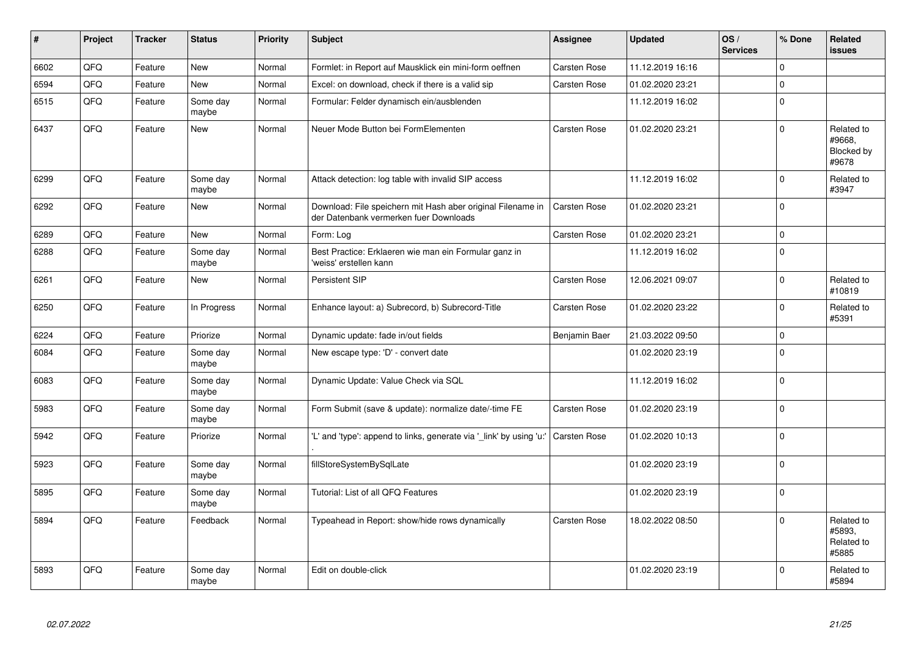| $\vert$ # | Project | <b>Tracker</b> | <b>Status</b>     | <b>Priority</b> | <b>Subject</b>                                                                                        | Assignee            | <b>Updated</b>   | OS/<br><b>Services</b> | % Done      | Related<br>issues                           |
|-----------|---------|----------------|-------------------|-----------------|-------------------------------------------------------------------------------------------------------|---------------------|------------------|------------------------|-------------|---------------------------------------------|
| 6602      | QFQ     | Feature        | <b>New</b>        | Normal          | Formlet: in Report auf Mausklick ein mini-form oeffnen                                                | Carsten Rose        | 11.12.2019 16:16 |                        | $\Omega$    |                                             |
| 6594      | QFQ     | Feature        | New               | Normal          | Excel: on download, check if there is a valid sip                                                     | Carsten Rose        | 01.02.2020 23:21 |                        | $\Omega$    |                                             |
| 6515      | QFQ     | Feature        | Some day<br>maybe | Normal          | Formular: Felder dynamisch ein/ausblenden                                                             |                     | 11.12.2019 16:02 |                        | $\mathbf 0$ |                                             |
| 6437      | QFQ     | Feature        | <b>New</b>        | Normal          | Neuer Mode Button bei FormElementen                                                                   | Carsten Rose        | 01.02.2020 23:21 |                        | $\Omega$    | Related to<br>#9668,<br>Blocked by<br>#9678 |
| 6299      | QFQ     | Feature        | Some day<br>maybe | Normal          | Attack detection: log table with invalid SIP access                                                   |                     | 11.12.2019 16:02 |                        | $\Omega$    | Related to<br>#3947                         |
| 6292      | QFQ     | Feature        | <b>New</b>        | Normal          | Download: File speichern mit Hash aber original Filename in<br>der Datenbank vermerken fuer Downloads | Carsten Rose        | 01.02.2020 23:21 |                        | $\Omega$    |                                             |
| 6289      | QFQ     | Feature        | <b>New</b>        | Normal          | Form: Log                                                                                             | Carsten Rose        | 01.02.2020 23:21 |                        | $\mathbf 0$ |                                             |
| 6288      | QFQ     | Feature        | Some day<br>maybe | Normal          | Best Practice: Erklaeren wie man ein Formular ganz in<br>'weiss' erstellen kann                       |                     | 11.12.2019 16:02 |                        | $\Omega$    |                                             |
| 6261      | QFQ     | Feature        | New               | Normal          | Persistent SIP                                                                                        | Carsten Rose        | 12.06.2021 09:07 |                        | $\mathbf 0$ | Related to<br>#10819                        |
| 6250      | QFQ     | Feature        | In Progress       | Normal          | Enhance layout: a) Subrecord, b) Subrecord-Title                                                      | Carsten Rose        | 01.02.2020 23:22 |                        | $\Omega$    | Related to<br>#5391                         |
| 6224      | QFQ     | Feature        | Priorize          | Normal          | Dynamic update: fade in/out fields                                                                    | Benjamin Baer       | 21.03.2022 09:50 |                        | $\mathbf 0$ |                                             |
| 6084      | QFQ     | Feature        | Some day<br>maybe | Normal          | New escape type: 'D' - convert date                                                                   |                     | 01.02.2020 23:19 |                        | $\Omega$    |                                             |
| 6083      | QFQ     | Feature        | Some day<br>maybe | Normal          | Dynamic Update: Value Check via SQL                                                                   |                     | 11.12.2019 16:02 |                        | $\mathbf 0$ |                                             |
| 5983      | QFQ     | Feature        | Some day<br>maybe | Normal          | Form Submit (save & update): normalize date/-time FE                                                  | Carsten Rose        | 01.02.2020 23:19 |                        | $\Omega$    |                                             |
| 5942      | QFQ     | Feature        | Priorize          | Normal          | 'L' and 'type': append to links, generate via '_link' by using 'u:'                                   | Carsten Rose        | 01.02.2020 10:13 |                        | $\Omega$    |                                             |
| 5923      | QFQ     | Feature        | Some day<br>maybe | Normal          | fillStoreSystemBySqlLate                                                                              |                     | 01.02.2020 23:19 |                        | $\Omega$    |                                             |
| 5895      | QFQ     | Feature        | Some day<br>maybe | Normal          | Tutorial: List of all QFQ Features                                                                    |                     | 01.02.2020 23:19 |                        | $\mathbf 0$ |                                             |
| 5894      | QFQ     | Feature        | Feedback          | Normal          | Typeahead in Report: show/hide rows dynamically                                                       | <b>Carsten Rose</b> | 18.02.2022 08:50 |                        | $\Omega$    | Related to<br>#5893,<br>Related to<br>#5885 |
| 5893      | QFQ     | Feature        | Some day<br>maybe | Normal          | Edit on double-click                                                                                  |                     | 01.02.2020 23:19 |                        | $\Omega$    | Related to<br>#5894                         |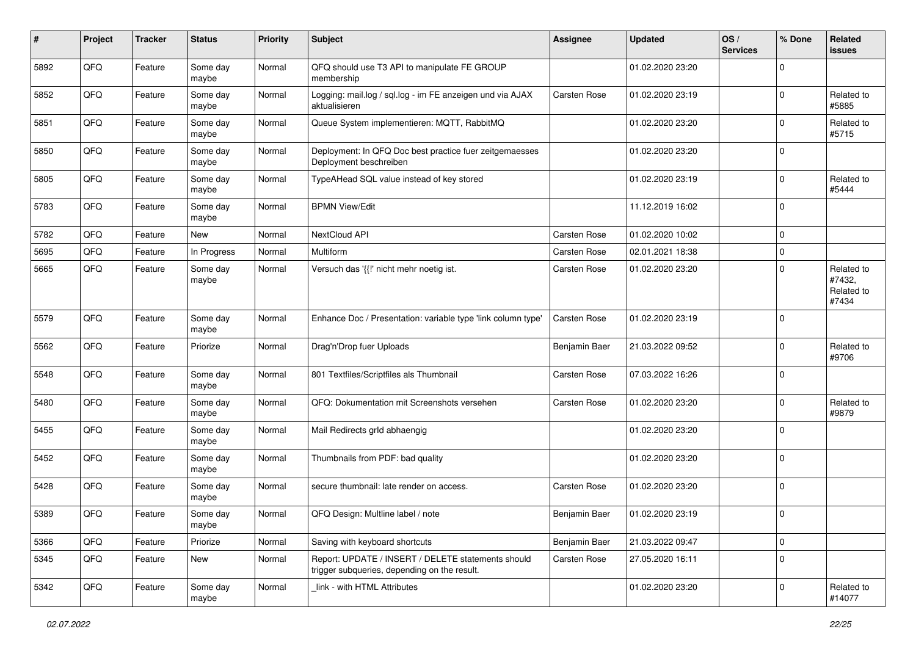| #    | Project | <b>Tracker</b> | <b>Status</b>     | <b>Priority</b> | <b>Subject</b>                                                                                     | <b>Assignee</b>      | <b>Updated</b>   | OS/<br><b>Services</b> | % Done         | Related<br><b>issues</b>                    |
|------|---------|----------------|-------------------|-----------------|----------------------------------------------------------------------------------------------------|----------------------|------------------|------------------------|----------------|---------------------------------------------|
| 5892 | QFQ     | Feature        | Some day<br>maybe | Normal          | QFQ should use T3 API to manipulate FE GROUP<br>membership                                         |                      | 01.02.2020 23:20 |                        | $\mathbf 0$    |                                             |
| 5852 | QFQ     | Feature        | Some day<br>maybe | Normal          | Logging: mail.log / sql.log - im FE anzeigen und via AJAX<br>aktualisieren                         | Carsten Rose         | 01.02.2020 23:19 |                        | $\overline{0}$ | Related to<br>#5885                         |
| 5851 | QFQ     | Feature        | Some day<br>maybe | Normal          | Queue System implementieren: MQTT, RabbitMQ                                                        |                      | 01.02.2020 23:20 |                        | $\mathbf 0$    | Related to<br>#5715                         |
| 5850 | QFQ     | Feature        | Some day<br>maybe | Normal          | Deployment: In QFQ Doc best practice fuer zeitgemaesses<br>Deployment beschreiben                  |                      | 01.02.2020 23:20 |                        | $\overline{0}$ |                                             |
| 5805 | QFQ     | Feature        | Some day<br>maybe | Normal          | TypeAHead SQL value instead of key stored                                                          |                      | 01.02.2020 23:19 |                        | $\mathbf 0$    | Related to<br>#5444                         |
| 5783 | QFQ     | Feature        | Some day<br>maybe | Normal          | <b>BPMN View/Edit</b>                                                                              |                      | 11.12.2019 16:02 |                        | $\overline{0}$ |                                             |
| 5782 | QFQ     | Feature        | New               | Normal          | NextCloud API                                                                                      | Carsten Rose         | 01.02.2020 10:02 |                        | $\mathbf 0$    |                                             |
| 5695 | QFQ     | Feature        | In Progress       | Normal          | Multiform                                                                                          | Carsten Rose         | 02.01.2021 18:38 |                        | $\overline{0}$ |                                             |
| 5665 | QFQ     | Feature        | Some day<br>maybe | Normal          | Versuch das '{{!' nicht mehr noetig ist.                                                           | Carsten Rose         | 01.02.2020 23:20 |                        | $\mathbf 0$    | Related to<br>#7432,<br>Related to<br>#7434 |
| 5579 | QFQ     | Feature        | Some day<br>maybe | Normal          | Enhance Doc / Presentation: variable type 'link column type'                                       | Carsten Rose         | 01.02.2020 23:19 |                        | $\mathbf 0$    |                                             |
| 5562 | QFQ     | Feature        | Priorize          | Normal          | Drag'n'Drop fuer Uploads                                                                           | Benjamin Baer        | 21.03.2022 09:52 |                        | $\overline{0}$ | Related to<br>#9706                         |
| 5548 | QFQ     | Feature        | Some day<br>maybe | Normal          | 801 Textfiles/Scriptfiles als Thumbnail                                                            | Carsten Rose         | 07.03.2022 16:26 |                        | 0              |                                             |
| 5480 | QFQ     | Feature        | Some day<br>maybe | Normal          | QFQ: Dokumentation mit Screenshots versehen                                                        | Carsten Rose         | 01.02.2020 23:20 |                        | $\mathbf 0$    | Related to<br>#9879                         |
| 5455 | QFQ     | Feature        | Some day<br>maybe | Normal          | Mail Redirects grld abhaengig                                                                      |                      | 01.02.2020 23:20 |                        | $\mathbf 0$    |                                             |
| 5452 | QFQ     | Feature        | Some day<br>maybe | Normal          | Thumbnails from PDF: bad quality                                                                   |                      | 01.02.2020 23:20 |                        | $\overline{0}$ |                                             |
| 5428 | QFQ     | Feature        | Some day<br>maybe | Normal          | secure thumbnail: late render on access.                                                           | Carsten Rose         | 01.02.2020 23:20 |                        | $\overline{0}$ |                                             |
| 5389 | QFQ     | Feature        | Some day<br>maybe | Normal          | QFQ Design: Multline label / note                                                                  | <b>Beniamin Baer</b> | 01.02.2020 23:19 |                        | $\overline{0}$ |                                             |
| 5366 | QFQ     | Feature        | Priorize          | Normal          | Saving with keyboard shortcuts                                                                     | Benjamin Baer        | 21.03.2022 09:47 |                        | $\overline{0}$ |                                             |
| 5345 | QFQ     | Feature        | New               | Normal          | Report: UPDATE / INSERT / DELETE statements should<br>trigger subqueries, depending on the result. | Carsten Rose         | 27.05.2020 16:11 |                        | $\overline{0}$ |                                             |
| 5342 | QFQ     | Feature        | Some day<br>maybe | Normal          | link - with HTML Attributes                                                                        |                      | 01.02.2020 23:20 |                        | 0              | Related to<br>#14077                        |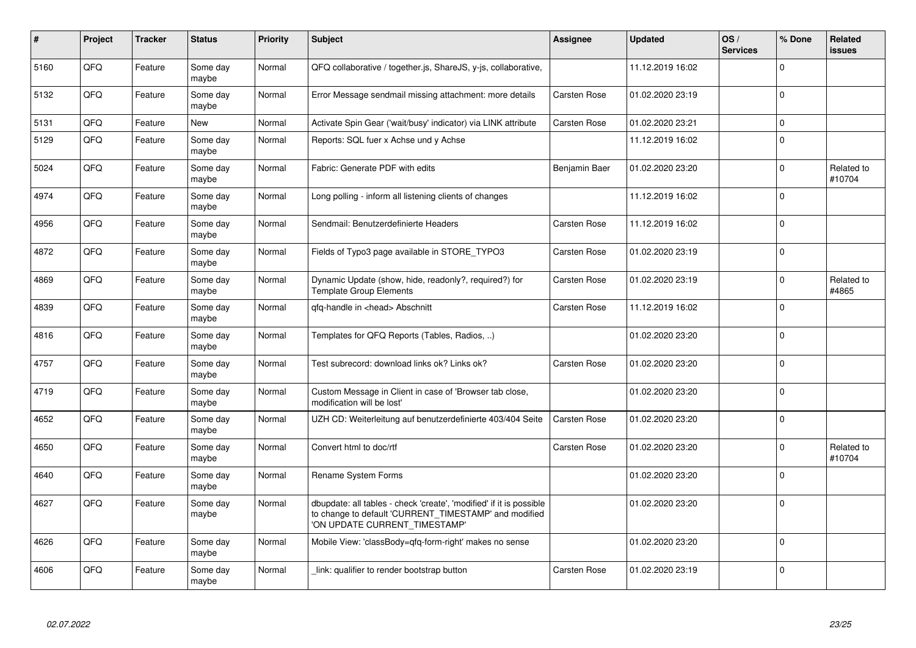| $\pmb{\#}$ | Project | <b>Tracker</b> | <b>Status</b>     | <b>Priority</b> | Subject                                                                                                                                                       | <b>Assignee</b>     | <b>Updated</b>   | OS/<br><b>Services</b> | % Done         | Related<br><b>issues</b> |
|------------|---------|----------------|-------------------|-----------------|---------------------------------------------------------------------------------------------------------------------------------------------------------------|---------------------|------------------|------------------------|----------------|--------------------------|
| 5160       | QFQ     | Feature        | Some day<br>maybe | Normal          | QFQ collaborative / together.js, ShareJS, y-js, collaborative,                                                                                                |                     | 11.12.2019 16:02 |                        | $\Omega$       |                          |
| 5132       | QFQ     | Feature        | Some day<br>maybe | Normal          | Error Message sendmail missing attachment: more details                                                                                                       | <b>Carsten Rose</b> | 01.02.2020 23:19 |                        | $\overline{0}$ |                          |
| 5131       | QFQ     | Feature        | <b>New</b>        | Normal          | Activate Spin Gear ('wait/busy' indicator) via LINK attribute                                                                                                 | <b>Carsten Rose</b> | 01.02.2020 23:21 |                        | $\overline{0}$ |                          |
| 5129       | QFQ     | Feature        | Some day<br>maybe | Normal          | Reports: SQL fuer x Achse und y Achse                                                                                                                         |                     | 11.12.2019 16:02 |                        | $\overline{0}$ |                          |
| 5024       | QFQ     | Feature        | Some day<br>maybe | Normal          | Fabric: Generate PDF with edits                                                                                                                               | Benjamin Baer       | 01.02.2020 23:20 |                        | $\mathbf 0$    | Related to<br>#10704     |
| 4974       | QFQ     | Feature        | Some day<br>maybe | Normal          | Long polling - inform all listening clients of changes                                                                                                        |                     | 11.12.2019 16:02 |                        | $\overline{0}$ |                          |
| 4956       | QFQ     | Feature        | Some day<br>maybe | Normal          | Sendmail: Benutzerdefinierte Headers                                                                                                                          | Carsten Rose        | 11.12.2019 16:02 |                        | $\overline{0}$ |                          |
| 4872       | QFQ     | Feature        | Some day<br>maybe | Normal          | Fields of Typo3 page available in STORE_TYPO3                                                                                                                 | Carsten Rose        | 01.02.2020 23:19 |                        | $\overline{0}$ |                          |
| 4869       | QFQ     | Feature        | Some day<br>maybe | Normal          | Dynamic Update (show, hide, readonly?, required?) for<br><b>Template Group Elements</b>                                                                       | <b>Carsten Rose</b> | 01.02.2020 23:19 |                        | $\overline{0}$ | Related to<br>#4865      |
| 4839       | QFQ     | Feature        | Some day<br>maybe | Normal          | qfq-handle in <head> Abschnitt</head>                                                                                                                         | Carsten Rose        | 11.12.2019 16:02 |                        | $\overline{0}$ |                          |
| 4816       | QFQ     | Feature        | Some day<br>maybe | Normal          | Templates for QFQ Reports (Tables, Radios, )                                                                                                                  |                     | 01.02.2020 23:20 |                        | $\overline{0}$ |                          |
| 4757       | QFQ     | Feature        | Some day<br>maybe | Normal          | Test subrecord: download links ok? Links ok?                                                                                                                  | <b>Carsten Rose</b> | 01.02.2020 23:20 |                        | $\overline{0}$ |                          |
| 4719       | QFQ     | Feature        | Some day<br>maybe | Normal          | Custom Message in Client in case of 'Browser tab close,<br>modification will be lost'                                                                         |                     | 01.02.2020 23:20 |                        | $\overline{0}$ |                          |
| 4652       | QFQ     | Feature        | Some day<br>maybe | Normal          | UZH CD: Weiterleitung auf benutzerdefinierte 403/404 Seite                                                                                                    | <b>Carsten Rose</b> | 01.02.2020 23:20 |                        | $\overline{0}$ |                          |
| 4650       | QFQ     | Feature        | Some day<br>maybe | Normal          | Convert html to doc/rtf                                                                                                                                       | Carsten Rose        | 01.02.2020 23:20 |                        | $\overline{0}$ | Related to<br>#10704     |
| 4640       | QFQ     | Feature        | Some day<br>maybe | Normal          | Rename System Forms                                                                                                                                           |                     | 01.02.2020 23:20 |                        | $\mathbf 0$    |                          |
| 4627       | QFQ     | Feature        | Some day<br>maybe | Normal          | dbupdate: all tables - check 'create', 'modified' if it is possible<br>to change to default 'CURRENT_TIMESTAMP' and modified<br>'ON UPDATE CURRENT_TIMESTAMP' |                     | 01.02.2020 23:20 |                        | $\overline{0}$ |                          |
| 4626       | QFQ     | Feature        | Some day<br>maybe | Normal          | Mobile View: 'classBody=qfq-form-right' makes no sense                                                                                                        |                     | 01.02.2020 23:20 |                        | $\overline{0}$ |                          |
| 4606       | QFQ     | Feature        | Some day<br>maybe | Normal          | link: qualifier to render bootstrap button                                                                                                                    | <b>Carsten Rose</b> | 01.02.2020 23:19 |                        | $\overline{0}$ |                          |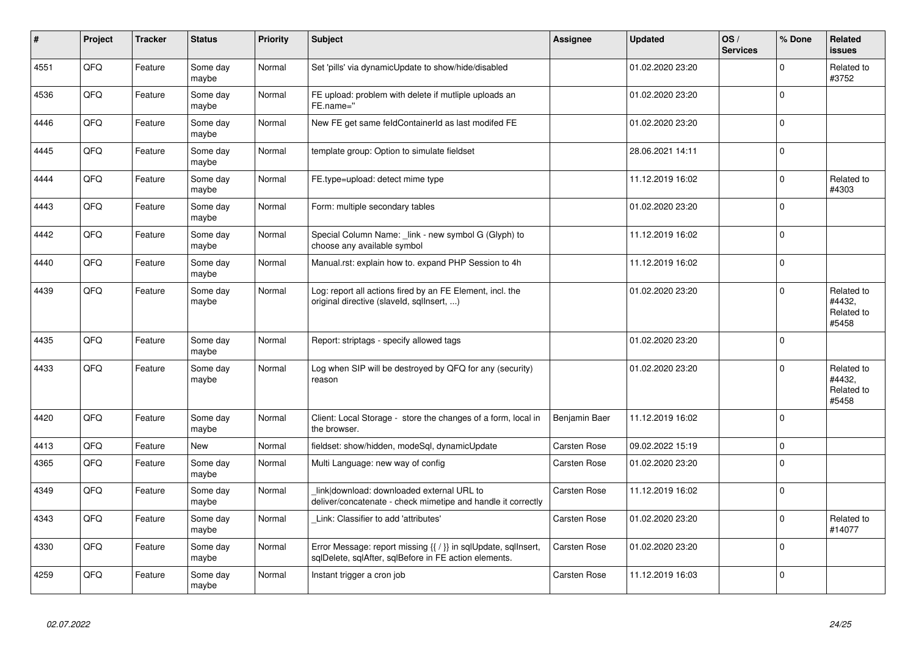| #    | Project | <b>Tracker</b> | <b>Status</b>     | <b>Priority</b> | <b>Subject</b>                                                                                                          | Assignee            | <b>Updated</b>   | OS/<br><b>Services</b> | % Done      | <b>Related</b><br><b>issues</b>             |
|------|---------|----------------|-------------------|-----------------|-------------------------------------------------------------------------------------------------------------------------|---------------------|------------------|------------------------|-------------|---------------------------------------------|
| 4551 | QFQ     | Feature        | Some day<br>maybe | Normal          | Set 'pills' via dynamicUpdate to show/hide/disabled                                                                     |                     | 01.02.2020 23:20 |                        | $\mathbf 0$ | Related to<br>#3752                         |
| 4536 | QFQ     | Feature        | Some day<br>maybe | Normal          | FE upload: problem with delete if mutliple uploads an<br>FE.name="                                                      |                     | 01.02.2020 23:20 |                        | $\mathbf 0$ |                                             |
| 4446 | QFQ     | Feature        | Some day<br>maybe | Normal          | New FE get same feldContainerId as last modifed FE                                                                      |                     | 01.02.2020 23:20 |                        | $\mathbf 0$ |                                             |
| 4445 | QFQ     | Feature        | Some day<br>maybe | Normal          | template group: Option to simulate fieldset                                                                             |                     | 28.06.2021 14:11 |                        | $\mathbf 0$ |                                             |
| 4444 | QFQ     | Feature        | Some day<br>maybe | Normal          | FE.type=upload: detect mime type                                                                                        |                     | 11.12.2019 16:02 |                        | $\Omega$    | Related to<br>#4303                         |
| 4443 | QFQ     | Feature        | Some day<br>maybe | Normal          | Form: multiple secondary tables                                                                                         |                     | 01.02.2020 23:20 |                        | $\mathbf 0$ |                                             |
| 4442 | QFQ     | Feature        | Some day<br>maybe | Normal          | Special Column Name: link - new symbol G (Glyph) to<br>choose any available symbol                                      |                     | 11.12.2019 16:02 |                        | $\mathbf 0$ |                                             |
| 4440 | QFQ     | Feature        | Some day<br>maybe | Normal          | Manual.rst: explain how to. expand PHP Session to 4h                                                                    |                     | 11.12.2019 16:02 |                        | $\mathbf 0$ |                                             |
| 4439 | QFQ     | Feature        | Some day<br>maybe | Normal          | Log: report all actions fired by an FE Element, incl. the<br>original directive (slaveld, sqllnsert, )                  |                     | 01.02.2020 23:20 |                        | $\mathbf 0$ | Related to<br>#4432,<br>Related to<br>#5458 |
| 4435 | QFQ     | Feature        | Some day<br>maybe | Normal          | Report: striptags - specify allowed tags                                                                                |                     | 01.02.2020 23:20 |                        | $\Omega$    |                                             |
| 4433 | QFQ     | Feature        | Some day<br>maybe | Normal          | Log when SIP will be destroyed by QFQ for any (security)<br>reason                                                      |                     | 01.02.2020 23:20 |                        | $\Omega$    | Related to<br>#4432,<br>Related to<br>#5458 |
| 4420 | QFQ     | Feature        | Some day<br>maybe | Normal          | Client: Local Storage - store the changes of a form, local in<br>the browser.                                           | Benjamin Baer       | 11.12.2019 16:02 |                        | $\mathbf 0$ |                                             |
| 4413 | QFQ     | Feature        | New               | Normal          | fieldset: show/hidden, modeSql, dynamicUpdate                                                                           | <b>Carsten Rose</b> | 09.02.2022 15:19 |                        | $\mathbf 0$ |                                             |
| 4365 | QFQ     | Feature        | Some day<br>maybe | Normal          | Multi Language: new way of config                                                                                       | Carsten Rose        | 01.02.2020 23:20 |                        | $\Omega$    |                                             |
| 4349 | QFQ     | Feature        | Some day<br>maybe | Normal          | link download: downloaded external URL to<br>deliver/concatenate - check mimetipe and handle it correctly               | <b>Carsten Rose</b> | 11.12.2019 16:02 |                        | $\mathbf 0$ |                                             |
| 4343 | QFQ     | Feature        | Some day<br>maybe | Normal          | Link: Classifier to add 'attributes'                                                                                    | <b>Carsten Rose</b> | 01.02.2020 23:20 |                        | $\mathbf 0$ | Related to<br>#14077                        |
| 4330 | QFQ     | Feature        | Some day<br>maybe | Normal          | Error Message: report missing {{ / }} in sqlUpdate, sqlInsert,<br>sqlDelete, sqlAfter, sqlBefore in FE action elements. | <b>Carsten Rose</b> | 01.02.2020 23:20 |                        | $\mathbf 0$ |                                             |
| 4259 | QFQ     | Feature        | Some day<br>maybe | Normal          | Instant trigger a cron job                                                                                              | <b>Carsten Rose</b> | 11.12.2019 16:03 |                        | $\mathbf 0$ |                                             |